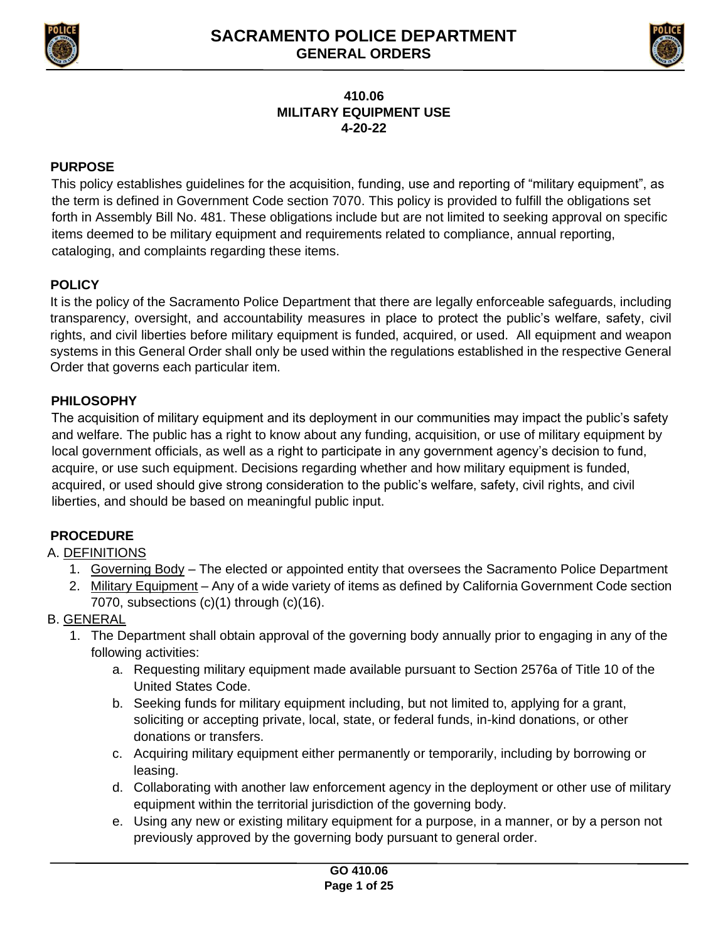



### **410.06 MILITARY EQUIPMENT USE 4-20-22**

## **PURPOSE**

This policy establishes guidelines for the acquisition, funding, use and reporting of "military equipment", as the term is defined in Government Code section 7070. This policy is provided to fulfill the obligations set forth in Assembly Bill No. 481. These obligations include but are not limited to seeking approval on specific items deemed to be military equipment and requirements related to compliance, annual reporting, cataloging, and complaints regarding these items.

## **POLICY**

It is the policy of the Sacramento Police Department that there are legally enforceable safeguards, including transparency, oversight, and accountability measures in place to protect the public's welfare, safety, civil rights, and civil liberties before military equipment is funded, acquired, or used. All equipment and weapon systems in this General Order shall only be used within the regulations established in the respective General Order that governs each particular item.

## **PHILOSOPHY**

The acquisition of military equipment and its deployment in our communities may impact the public's safety and welfare. The public has a right to know about any funding, acquisition, or use of military equipment by local government officials, as well as a right to participate in any government agency's decision to fund, acquire, or use such equipment. Decisions regarding whether and how military equipment is funded, acquired, or used should give strong consideration to the public's welfare, safety, civil rights, and civil liberties, and should be based on meaningful public input.

## **PROCEDURE**

## A. DEFINITIONS

- 1. Governing Body The elected or appointed entity that oversees the Sacramento Police Department
- 2. Military Equipment Any of a wide variety of items as defined by California Government Code section 7070, subsections (c)(1) through (c)(16).

### B. GENERAL

- 1. The Department shall obtain approval of the governing body annually prior to engaging in any of the following activities:
	- a. Requesting military equipment made available pursuant to Section 2576a of Title 10 of the United States Code.
	- b. Seeking funds for military equipment including, but not limited to, applying for a grant, soliciting or accepting private, local, state, or federal funds, in-kind donations, or other donations or transfers.
	- c. Acquiring military equipment either permanently or temporarily, including by borrowing or leasing.
	- d. Collaborating with another law enforcement agency in the deployment or other use of military equipment within the territorial jurisdiction of the governing body.
	- e. Using any new or existing military equipment for a purpose, in a manner, or by a person not previously approved by the governing body pursuant to general order.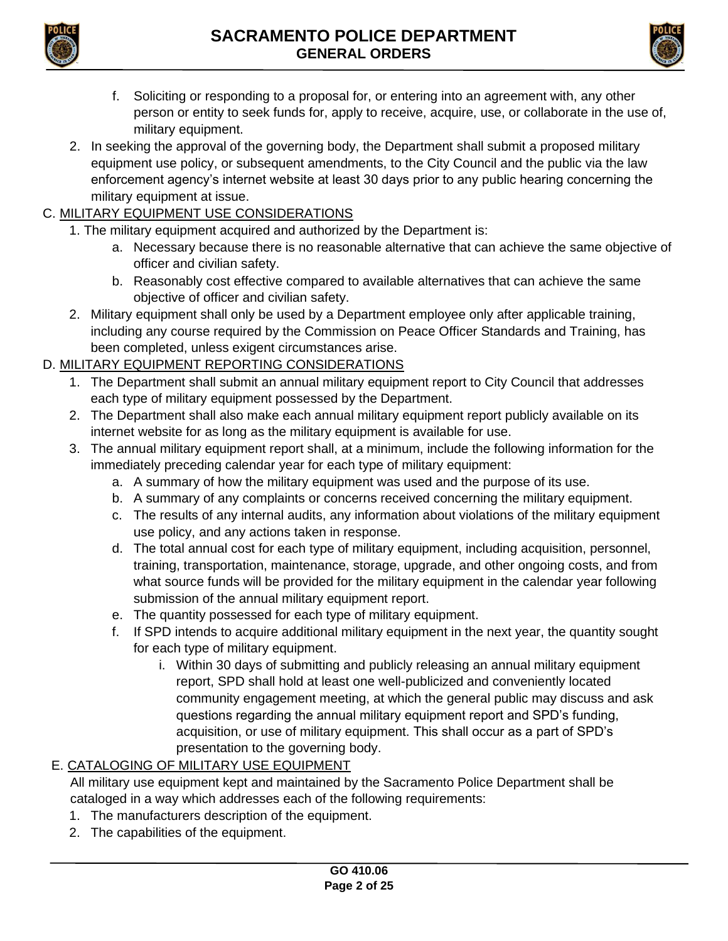



- f. Soliciting or responding to a proposal for, or entering into an agreement with, any other person or entity to seek funds for, apply to receive, acquire, use, or collaborate in the use of, military equipment.
- 2. In seeking the approval of the governing body, the Department shall submit a proposed military equipment use policy, or subsequent amendments, to the City Council and the public via the law enforcement agency's internet website at least 30 days prior to any public hearing concerning the military equipment at issue.

# C. MILITARY EQUIPMENT USE CONSIDERATIONS

- 1. The military equipment acquired and authorized by the Department is:
	- a. Necessary because there is no reasonable alternative that can achieve the same objective of officer and civilian safety.
	- b. Reasonably cost effective compared to available alternatives that can achieve the same objective of officer and civilian safety.
- 2. Military equipment shall only be used by a Department employee only after applicable training, including any course required by the Commission on Peace Officer Standards and Training, has been completed, unless exigent circumstances arise.

# D. MILITARY EQUIPMENT REPORTING CONSIDERATIONS

- 1. The Department shall submit an annual military equipment report to City Council that addresses each type of military equipment possessed by the Department.
- 2. The Department shall also make each annual military equipment report publicly available on its internet website for as long as the military equipment is available for use.
- 3. The annual military equipment report shall, at a minimum, include the following information for the immediately preceding calendar year for each type of military equipment:
	- a. A summary of how the military equipment was used and the purpose of its use.
	- b. A summary of any complaints or concerns received concerning the military equipment.
	- c. The results of any internal audits, any information about violations of the military equipment use policy, and any actions taken in response.
	- d. The total annual cost for each type of military equipment, including acquisition, personnel, training, transportation, maintenance, storage, upgrade, and other ongoing costs, and from what source funds will be provided for the military equipment in the calendar year following submission of the annual military equipment report.
	- e. The quantity possessed for each type of military equipment.
	- f. If SPD intends to acquire additional military equipment in the next year, the quantity sought for each type of military equipment.
		- i. Within 30 days of submitting and publicly releasing an annual military equipment report, SPD shall hold at least one well-publicized and conveniently located community engagement meeting, at which the general public may discuss and ask questions regarding the annual military equipment report and SPD's funding, acquisition, or use of military equipment. This shall occur as a part of SPD's presentation to the governing body.

# E. CATALOGING OF MILITARY USE EQUIPMENT

All military use equipment kept and maintained by the Sacramento Police Department shall be cataloged in a way which addresses each of the following requirements:

- 1. The manufacturers description of the equipment.
- 2. The capabilities of the equipment.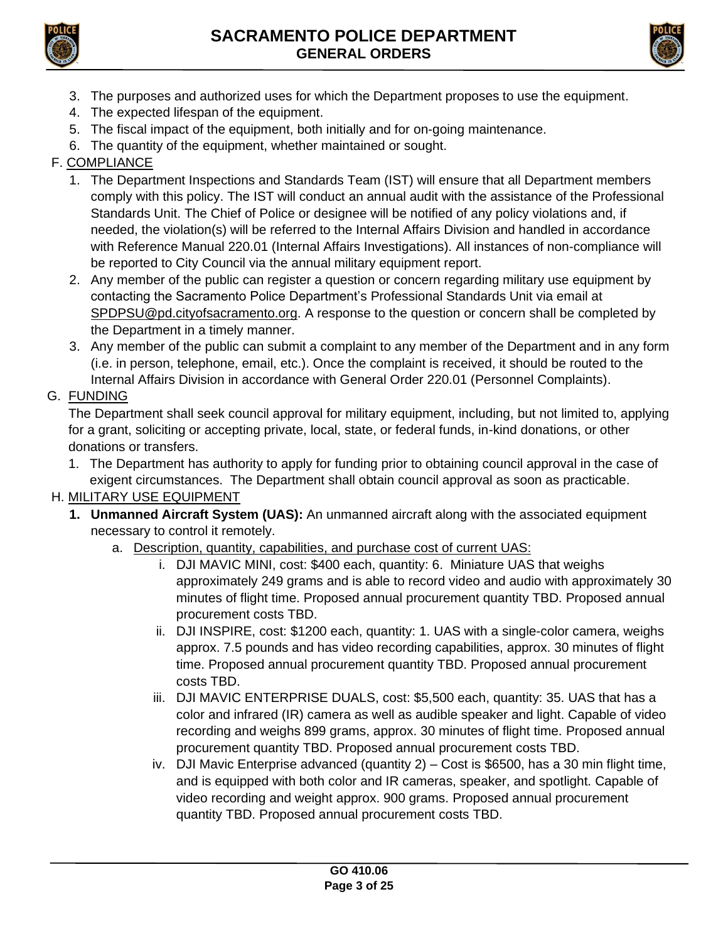



- 3. The purposes and authorized uses for which the Department proposes to use the equipment.
- 4. The expected lifespan of the equipment.
- 5. The fiscal impact of the equipment, both initially and for on-going maintenance.
- 6. The quantity of the equipment, whether maintained or sought.

# F. COMPLIANCE

- 1. The Department Inspections and Standards Team (IST) will ensure that all Department members comply with this policy. The IST will conduct an annual audit with the assistance of the Professional Standards Unit. The Chief of Police or designee will be notified of any policy violations and, if needed, the violation(s) will be referred to the Internal Affairs Division and handled in accordance with Reference Manual 220.01 (Internal Affairs Investigations). All instances of non-compliance will be reported to City Council via the annual military equipment report.
- 2. Any member of the public can register a question or concern regarding military use equipment by contacting the Sacramento Police Department's Professional Standards Unit via email at [SPDPSU@pd.cityofsacramento.org.](mailto:SPDPSU@pd.cityofsacramento.org) A response to the question or concern shall be completed by the Department in a timely manner.
- 3. Any member of the public can submit a complaint to any member of the Department and in any form (i.e. in person, telephone, email, etc.). Once the complaint is received, it should be routed to the Internal Affairs Division in accordance with General Order 220.01 (Personnel Complaints).

# G. FUNDING

The Department shall seek council approval for military equipment, including, but not limited to, applying for a grant, soliciting or accepting private, local, state, or federal funds, in-kind donations, or other donations or transfers.

1. The Department has authority to apply for funding prior to obtaining council approval in the case of exigent circumstances. The Department shall obtain council approval as soon as practicable.

# H. MILITARY USE EQUIPMENT

- **1. Unmanned Aircraft System (UAS):** An unmanned aircraft along with the associated equipment necessary to control it remotely.
	- a. Description, quantity, capabilities, and purchase cost of current UAS:
		- i. DJI MAVIC MINI, cost: \$400 each, quantity: 6. Miniature UAS that weighs approximately 249 grams and is able to record video and audio with approximately 30 minutes of flight time. Proposed annual procurement quantity TBD. Proposed annual procurement costs TBD.
		- ii. DJI INSPIRE, cost: \$1200 each, quantity: 1. UAS with a single-color camera, weighs approx. 7.5 pounds and has video recording capabilities, approx. 30 minutes of flight time. Proposed annual procurement quantity TBD. Proposed annual procurement costs TBD.
		- iii. DJI MAVIC ENTERPRISE DUALS, cost: \$5,500 each, quantity: 35. UAS that has a color and infrared (IR) camera as well as audible speaker and light. Capable of video recording and weighs 899 grams, approx. 30 minutes of flight time. Proposed annual procurement quantity TBD. Proposed annual procurement costs TBD.
		- iv. DJI Mavic Enterprise advanced (quantity 2) Cost is \$6500, has a 30 min flight time, and is equipped with both color and IR cameras, speaker, and spotlight. Capable of video recording and weight approx. 900 grams. Proposed annual procurement quantity TBD. Proposed annual procurement costs TBD.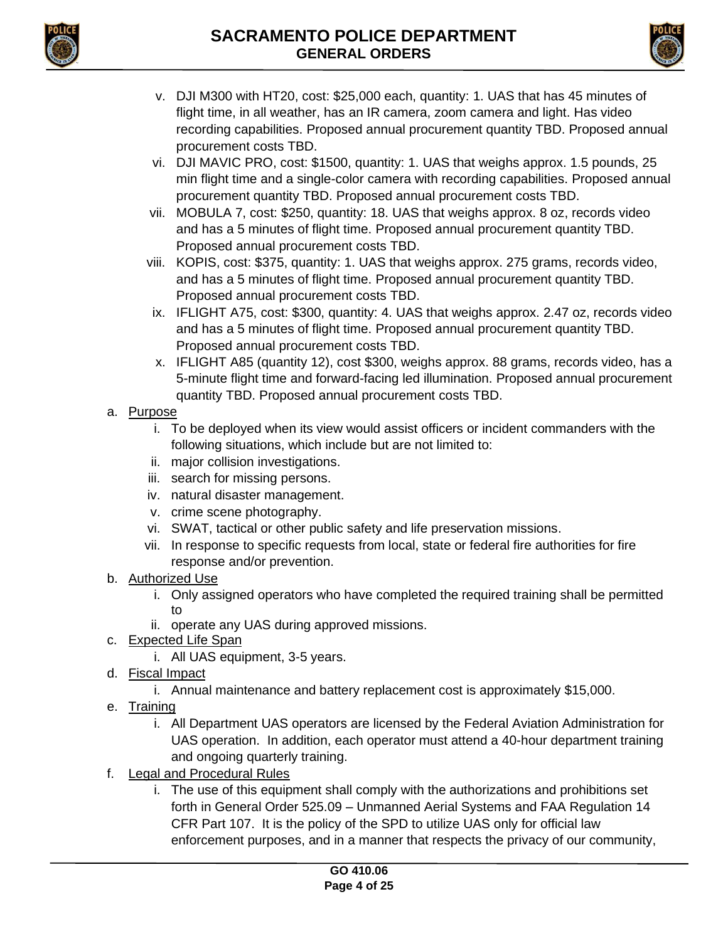



- v. DJI M300 with HT20, cost: \$25,000 each, quantity: 1. UAS that has 45 minutes of flight time, in all weather, has an IR camera, zoom camera and light. Has video recording capabilities. Proposed annual procurement quantity TBD. Proposed annual procurement costs TBD.
- vi. DJI MAVIC PRO, cost: \$1500, quantity: 1. UAS that weighs approx. 1.5 pounds, 25 min flight time and a single-color camera with recording capabilities. Proposed annual procurement quantity TBD. Proposed annual procurement costs TBD.
- vii. MOBULA 7, cost: \$250, quantity: 18. UAS that weighs approx. 8 oz, records video and has a 5 minutes of flight time. Proposed annual procurement quantity TBD. Proposed annual procurement costs TBD.
- viii. KOPIS, cost: \$375, quantity: 1. UAS that weighs approx. 275 grams, records video, and has a 5 minutes of flight time. Proposed annual procurement quantity TBD. Proposed annual procurement costs TBD.
- ix. IFLIGHT A75, cost: \$300, quantity: 4. UAS that weighs approx. 2.47 oz, records video and has a 5 minutes of flight time. Proposed annual procurement quantity TBD. Proposed annual procurement costs TBD.
- x. IFLIGHT A85 (quantity 12), cost \$300, weighs approx. 88 grams, records video, has a 5-minute flight time and forward-facing led illumination. Proposed annual procurement quantity TBD. Proposed annual procurement costs TBD.
- a. Purpose
	- i. To be deployed when its view would assist officers or incident commanders with the following situations, which include but are not limited to:
	- ii. major collision investigations.
	- iii. search for missing persons.
	- iv. natural disaster management.
	- v. crime scene photography.
	- vi. SWAT, tactical or other public safety and life preservation missions.
	- vii. In response to specific requests from local, state or federal fire authorities for fire response and/or prevention.
- b. Authorized Use
	- i. Only assigned operators who have completed the required training shall be permitted to
	- ii. operate any UAS during approved missions.
- c. Expected Life Span
	- i. All UAS equipment, 3-5 years.
- d. Fiscal Impact
	- i. Annual maintenance and battery replacement cost is approximately \$15,000.
- e. Training
	- i. All Department UAS operators are licensed by the Federal Aviation Administration for UAS operation. In addition, each operator must attend a 40-hour department training and ongoing quarterly training.
- f. Legal and Procedural Rules
	- i. The use of this equipment shall comply with the authorizations and prohibitions set forth in General Order 525.09 – Unmanned Aerial Systems and FAA Regulation 14 CFR Part 107. It is the policy of the SPD to utilize UAS only for official law enforcement purposes, and in a manner that respects the privacy of our community,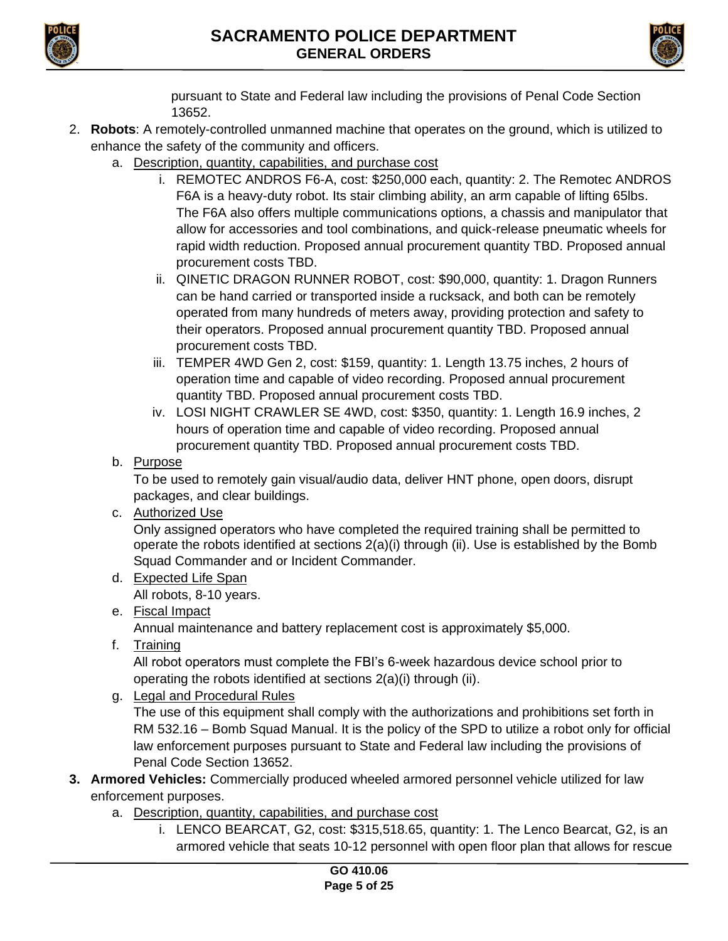



pursuant to State and Federal law including the provisions of Penal Code Section 13652.

- 2. **Robots**: A remotely-controlled unmanned machine that operates on the ground, which is utilized to enhance the safety of the community and officers.
	- a. Description, quantity, capabilities, and purchase cost
		- i. REMOTEC ANDROS F6-A, cost: \$250,000 each, quantity: 2. The Remotec ANDROS F6A is a heavy-duty robot. Its stair climbing ability, an arm capable of lifting 65lbs. The F6A also offers multiple communications options, a chassis and manipulator that allow for accessories and tool combinations, and quick-release pneumatic wheels for rapid width reduction. Proposed annual procurement quantity TBD. Proposed annual procurement costs TBD.
		- ii. QINETIC DRAGON RUNNER ROBOT, cost: \$90,000, quantity: 1. Dragon Runners can be hand carried or transported inside a rucksack, and both can be remotely operated from many hundreds of meters away, providing protection and safety to their operators. Proposed annual procurement quantity TBD. Proposed annual procurement costs TBD.
		- iii. TEMPER 4WD Gen 2, cost: \$159, quantity: 1. Length 13.75 inches, 2 hours of operation time and capable of video recording. Proposed annual procurement quantity TBD. Proposed annual procurement costs TBD.
		- iv. LOSI NIGHT CRAWLER SE 4WD, cost: \$350, quantity: 1. Length 16.9 inches, 2 hours of operation time and capable of video recording. Proposed annual procurement quantity TBD. Proposed annual procurement costs TBD.
	- b. Purpose

To be used to remotely gain visual/audio data, deliver HNT phone, open doors, disrupt packages, and clear buildings.

c. Authorized Use

Only assigned operators who have completed the required training shall be permitted to operate the robots identified at sections 2(a)(i) through (ii). Use is established by the Bomb Squad Commander and or Incident Commander.

- d. Expected Life Span All robots, 8-10 years.
- e. Fiscal Impact

Annual maintenance and battery replacement cost is approximately \$5,000.

f. Training

All robot operators must complete the FBI's 6-week hazardous device school prior to operating the robots identified at sections 2(a)(i) through (ii).

g. Legal and Procedural Rules

The use of this equipment shall comply with the authorizations and prohibitions set forth in RM 532.16 – Bomb Squad Manual. It is the policy of the SPD to utilize a robot only for official law enforcement purposes pursuant to State and Federal law including the provisions of Penal Code Section 13652.

- **3. Armored Vehicles:** Commercially produced wheeled armored personnel vehicle utilized for law enforcement purposes.
	- a. Description, quantity, capabilities, and purchase cost
		- i. LENCO BEARCAT, G2, cost: \$315,518.65, quantity: 1. The Lenco Bearcat, G2, is an armored vehicle that seats 10-12 personnel with open floor plan that allows for rescue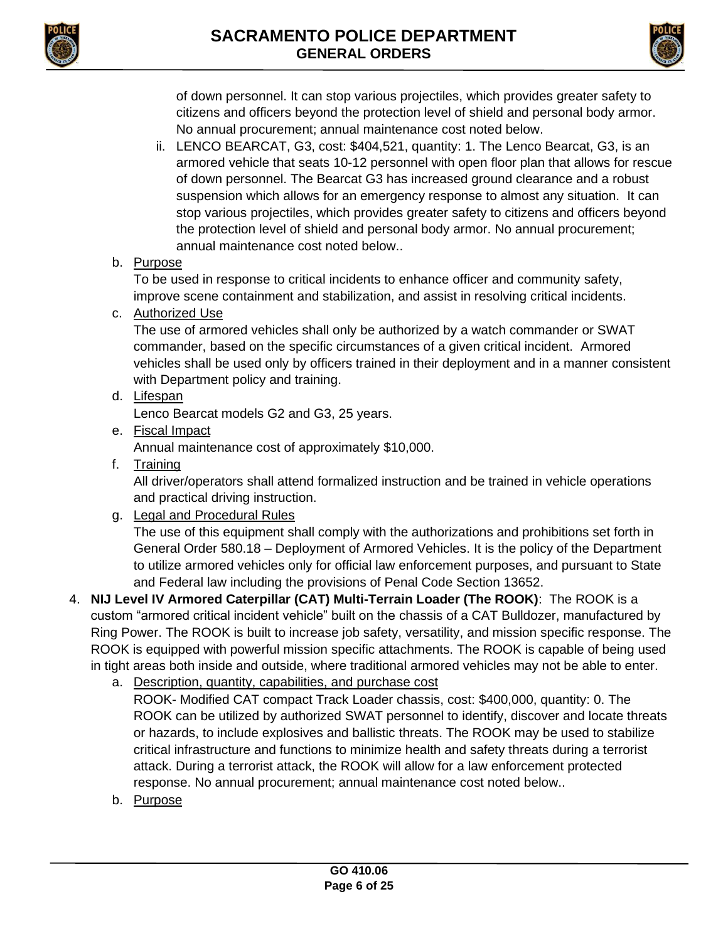



of down personnel. It can stop various projectiles, which provides greater safety to citizens and officers beyond the protection level of shield and personal body armor. No annual procurement; annual maintenance cost noted below.

- ii. LENCO BEARCAT, G3, cost: \$404,521, quantity: 1. The Lenco Bearcat, G3, is an armored vehicle that seats 10-12 personnel with open floor plan that allows for rescue of down personnel. The Bearcat G3 has increased ground clearance and a robust suspension which allows for an emergency response to almost any situation. It can stop various projectiles, which provides greater safety to citizens and officers beyond the protection level of shield and personal body armor. No annual procurement; annual maintenance cost noted below..
- b. Purpose

To be used in response to critical incidents to enhance officer and community safety, improve scene containment and stabilization, and assist in resolving critical incidents.

c. Authorized Use

The use of armored vehicles shall only be authorized by a watch commander or SWAT commander, based on the specific circumstances of a given critical incident. Armored vehicles shall be used only by officers trained in their deployment and in a manner consistent with Department policy and training.

d. Lifespan

Lenco Bearcat models G2 and G3, 25 years.

e. Fiscal Impact

Annual maintenance cost of approximately \$10,000.

f. Training

All driver/operators shall attend formalized instruction and be trained in vehicle operations and practical driving instruction.

g. Legal and Procedural Rules

The use of this equipment shall comply with the authorizations and prohibitions set forth in General Order 580.18 – Deployment of Armored Vehicles. It is the policy of the Department to utilize armored vehicles only for official law enforcement purposes, and pursuant to State and Federal law including the provisions of Penal Code Section 13652.

- 4. **NIJ Level IV Armored Caterpillar (CAT) Multi-Terrain Loader (The ROOK)**: The ROOK is a custom "armored critical incident vehicle" built on the chassis of a CAT Bulldozer, manufactured by Ring Power. The ROOK is built to increase job safety, versatility, and mission specific response. The ROOK is equipped with powerful mission specific attachments. The ROOK is capable of being used in tight areas both inside and outside, where traditional armored vehicles may not be able to enter.
	- a. Description, quantity, capabilities, and purchase cost

ROOK- Modified CAT compact Track Loader chassis, cost: \$400,000, quantity: 0. The ROOK can be utilized by authorized SWAT personnel to identify, discover and locate threats or hazards, to include explosives and ballistic threats. The ROOK may be used to stabilize critical infrastructure and functions to minimize health and safety threats during a terrorist attack. During a terrorist attack, the ROOK will allow for a law enforcement protected response. No annual procurement; annual maintenance cost noted below..

b. Purpose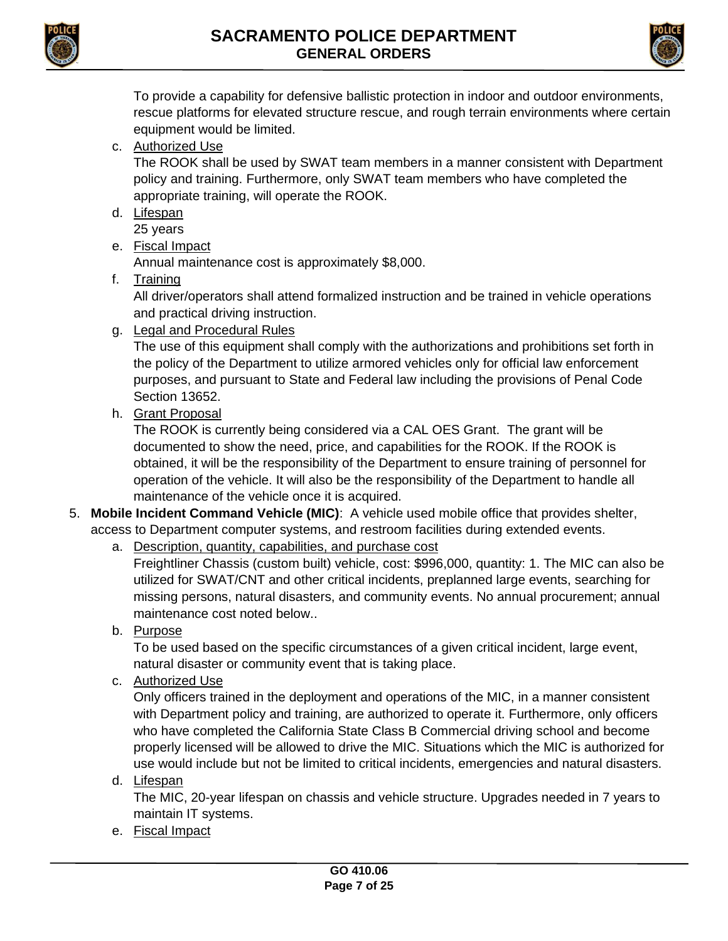



To provide a capability for defensive ballistic protection in indoor and outdoor environments, rescue platforms for elevated structure rescue, and rough terrain environments where certain equipment would be limited.

c. Authorized Use

The ROOK shall be used by SWAT team members in a manner consistent with Department policy and training. Furthermore, only SWAT team members who have completed the appropriate training, will operate the ROOK.

- d. Lifespan 25 years
- e. Fiscal Impact

Annual maintenance cost is approximately \$8,000.

f. Training

All driver/operators shall attend formalized instruction and be trained in vehicle operations and practical driving instruction.

g. Legal and Procedural Rules

The use of this equipment shall comply with the authorizations and prohibitions set forth in the policy of the Department to utilize armored vehicles only for official law enforcement purposes, and pursuant to State and Federal law including the provisions of Penal Code Section 13652.

h. Grant Proposal

The ROOK is currently being considered via a CAL OES Grant. The grant will be documented to show the need, price, and capabilities for the ROOK. If the ROOK is obtained, it will be the responsibility of the Department to ensure training of personnel for operation of the vehicle. It will also be the responsibility of the Department to handle all maintenance of the vehicle once it is acquired.

- 5. **Mobile Incident Command Vehicle (MIC)**: A vehicle used mobile office that provides shelter, access to Department computer systems, and restroom facilities during extended events.
	- a. Description, quantity, capabilities, and purchase cost

Freightliner Chassis (custom built) vehicle, cost: \$996,000, quantity: 1. The MIC can also be utilized for SWAT/CNT and other critical incidents, preplanned large events, searching for missing persons, natural disasters, and community events. No annual procurement; annual maintenance cost noted below..

b. Purpose

To be used based on the specific circumstances of a given critical incident, large event, natural disaster or community event that is taking place.

c. Authorized Use

Only officers trained in the deployment and operations of the MIC, in a manner consistent with Department policy and training, are authorized to operate it. Furthermore, only officers who have completed the California State Class B Commercial driving school and become properly licensed will be allowed to drive the MIC. Situations which the MIC is authorized for use would include but not be limited to critical incidents, emergencies and natural disasters.

d. Lifespan

The MIC, 20-year lifespan on chassis and vehicle structure. Upgrades needed in 7 years to maintain IT systems.

e. Fiscal Impact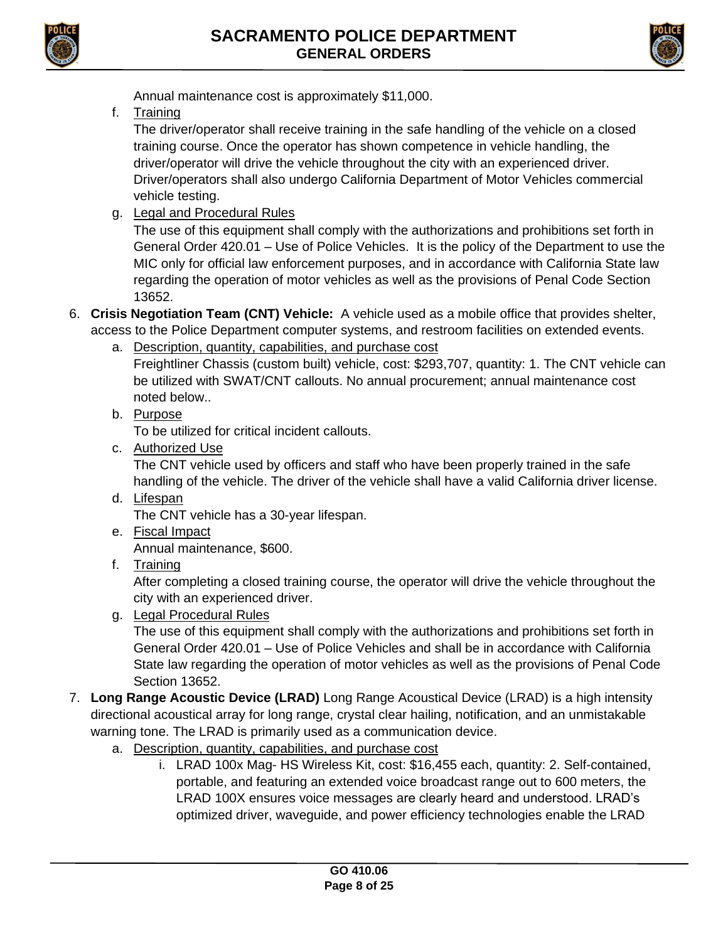



Annual maintenance cost is approximately \$11,000.

f. Training

The driver/operator shall receive training in the safe handling of the vehicle on a closed training course. Once the operator has shown competence in vehicle handling, the driver/operator will drive the vehicle throughout the city with an experienced driver. Driver/operators shall also undergo California Department of Motor Vehicles commercial vehicle testing.

g. Legal and Procedural Rules

The use of this equipment shall comply with the authorizations and prohibitions set forth in General Order 420.01 – Use of Police Vehicles. It is the policy of the Department to use the MIC only for official law enforcement purposes, and in accordance with California State law regarding the operation of motor vehicles as well as the provisions of Penal Code Section 13652.

6. **Crisis Negotiation Team (CNT) Vehicle:** A vehicle used as a mobile office that provides shelter, access to the Police Department computer systems, and restroom facilities on extended events.

a. Description, quantity, capabilities, and purchase cost

Freightliner Chassis (custom built) vehicle, cost: \$293,707, quantity: 1. The CNT vehicle can be utilized with SWAT/CNT callouts. No annual procurement; annual maintenance cost noted below..

b. Purpose

To be utilized for critical incident callouts.

c. Authorized Use

The CNT vehicle used by officers and staff who have been properly trained in the safe handling of the vehicle. The driver of the vehicle shall have a valid California driver license.

d. Lifespan

The CNT vehicle has a 30-year lifespan.

- e. Fiscal Impact Annual maintenance, \$600.
- f. Training

After completing a closed training course, the operator will drive the vehicle throughout the city with an experienced driver.

g. Legal Procedural Rules

The use of this equipment shall comply with the authorizations and prohibitions set forth in General Order 420.01 – Use of Police Vehicles and shall be in accordance with California State law regarding the operation of motor vehicles as well as the provisions of Penal Code Section 13652.

- 7. **Long Range Acoustic Device (LRAD)** Long Range Acoustical Device (LRAD) is a high intensity directional acoustical array for long range, crystal clear hailing, notification, and an unmistakable warning tone. The LRAD is primarily used as a communication device.
	- a. Description, quantity, capabilities, and purchase cost
		- i. LRAD 100x Mag- HS Wireless Kit, cost: \$16,455 each, quantity: 2. Self-contained, portable, and featuring an extended voice broadcast range out to 600 meters, the LRAD 100X ensures voice messages are clearly heard and understood. LRAD's optimized driver, waveguide, and power efficiency technologies enable the LRAD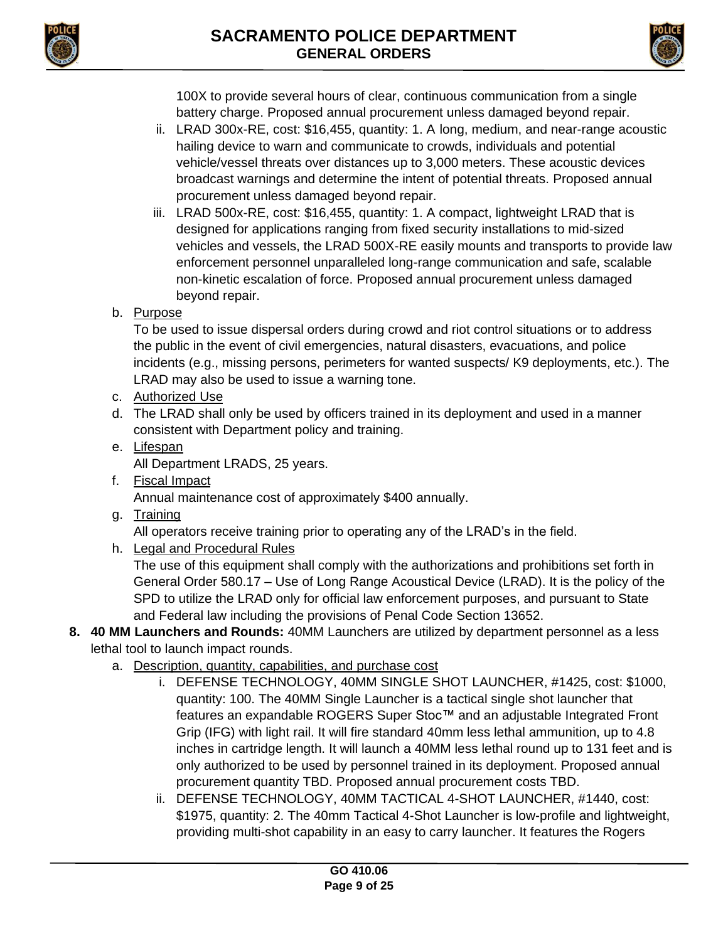



100X to provide several hours of clear, continuous communication from a single battery charge. Proposed annual procurement unless damaged beyond repair.

- ii. LRAD 300x-RE, cost: \$16,455, quantity: 1. A long, medium, and near-range acoustic hailing device to warn and communicate to crowds, individuals and potential vehicle/vessel threats over distances up to 3,000 meters. These acoustic devices broadcast warnings and determine the intent of potential threats. Proposed annual procurement unless damaged beyond repair.
- iii. LRAD 500x-RE, cost: \$16,455, quantity: 1. A compact, lightweight LRAD that is designed for applications ranging from fixed security installations to mid-sized vehicles and vessels, the LRAD 500X-RE easily mounts and transports to provide law enforcement personnel unparalleled long-range communication and safe, scalable non-kinetic escalation of force. Proposed annual procurement unless damaged beyond repair.

b. Purpose

To be used to issue dispersal orders during crowd and riot control situations or to address the public in the event of civil emergencies, natural disasters, evacuations, and police incidents (e.g., missing persons, perimeters for wanted suspects/ K9 deployments, etc.). The LRAD may also be used to issue a warning tone.

- c. Authorized Use
- d. The LRAD shall only be used by officers trained in its deployment and used in a manner consistent with Department policy and training.
- e. Lifespan All Department LRADS, 25 years.
- f. Fiscal Impact Annual maintenance cost of approximately \$400 annually.
- g. Training

All operators receive training prior to operating any of the LRAD's in the field.

h. Legal and Procedural Rules

The use of this equipment shall comply with the authorizations and prohibitions set forth in General Order 580.17 – Use of Long Range Acoustical Device (LRAD). It is the policy of the SPD to utilize the LRAD only for official law enforcement purposes, and pursuant to State and Federal law including the provisions of Penal Code Section 13652.

- **8. 40 MM Launchers and Rounds:** 40MM Launchers are utilized by department personnel as a less lethal tool to launch impact rounds.
	- a. Description, quantity, capabilities, and purchase cost
		- i. DEFENSE TECHNOLOGY, 40MM SINGLE SHOT LAUNCHER, #1425, cost: \$1000, quantity: 100. The 40MM Single Launcher is a tactical single shot launcher that features an expandable ROGERS Super Stoc™ and an adjustable Integrated Front Grip (IFG) with light rail. It will fire standard 40mm less lethal ammunition, up to 4.8 inches in cartridge length. It will launch a 40MM less lethal round up to 131 feet and is only authorized to be used by personnel trained in its deployment. Proposed annual procurement quantity TBD. Proposed annual procurement costs TBD.
		- ii. DEFENSE TECHNOLOGY, 40MM TACTICAL 4-SHOT LAUNCHER, #1440, cost: \$1975, quantity: 2. The 40mm Tactical 4-Shot Launcher is low-profile and lightweight, providing multi-shot capability in an easy to carry launcher. It features the Rogers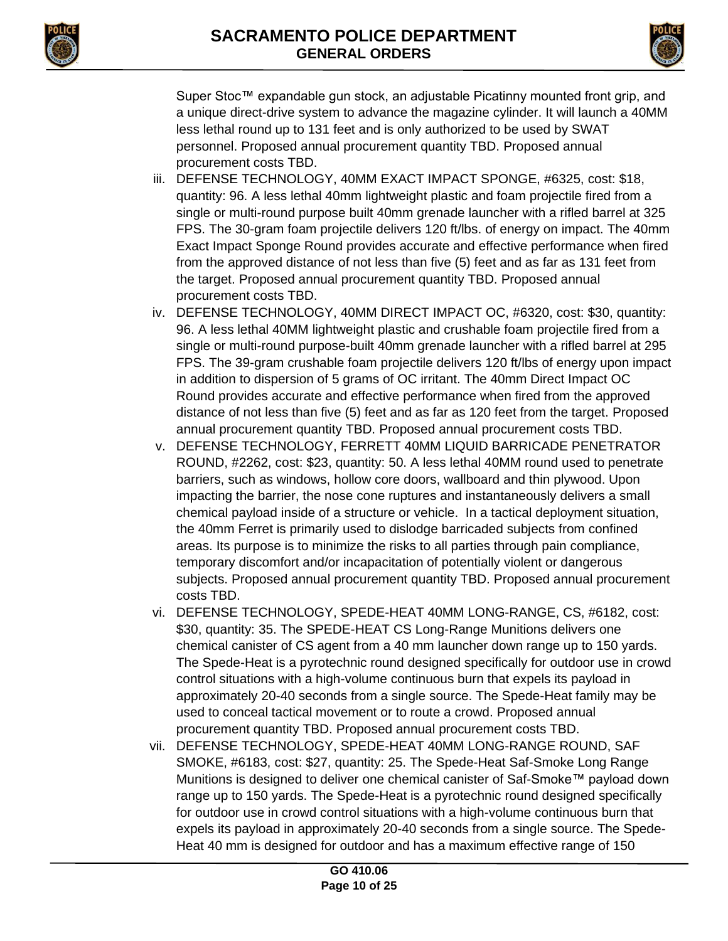



Super Stoc™ expandable gun stock, an adjustable Picatinny mounted front grip, and a unique direct-drive system to advance the magazine cylinder. It will launch a 40MM less lethal round up to 131 feet and is only authorized to be used by SWAT personnel. Proposed annual procurement quantity TBD. Proposed annual procurement costs TBD.

- iii. DEFENSE TECHNOLOGY, 40MM EXACT IMPACT SPONGE, #6325, cost: \$18, quantity: 96. A less lethal 40mm lightweight plastic and foam projectile fired from a single or multi-round purpose built 40mm grenade launcher with a rifled barrel at 325 FPS. The 30-gram foam projectile delivers 120 ft/lbs. of energy on impact. The 40mm Exact Impact Sponge Round provides accurate and effective performance when fired from the approved distance of not less than five (5) feet and as far as 131 feet from the target. Proposed annual procurement quantity TBD. Proposed annual procurement costs TBD.
- iv. DEFENSE TECHNOLOGY, 40MM DIRECT IMPACT OC, #6320, cost: \$30, quantity: 96. A less lethal 40MM lightweight plastic and crushable foam projectile fired from a single or multi-round purpose-built 40mm grenade launcher with a rifled barrel at 295 FPS. The 39-gram crushable foam projectile delivers 120 ft/lbs of energy upon impact in addition to dispersion of 5 grams of OC irritant. The 40mm Direct Impact OC Round provides accurate and effective performance when fired from the approved distance of not less than five (5) feet and as far as 120 feet from the target. Proposed annual procurement quantity TBD. Proposed annual procurement costs TBD.
- v. DEFENSE TECHNOLOGY, FERRETT 40MM LIQUID BARRICADE PENETRATOR ROUND, #2262, cost: \$23, quantity: 50. A less lethal 40MM round used to penetrate barriers, such as windows, hollow core doors, wallboard and thin plywood. Upon impacting the barrier, the nose cone ruptures and instantaneously delivers a small chemical payload inside of a structure or vehicle. In a tactical deployment situation, the 40mm Ferret is primarily used to dislodge barricaded subjects from confined areas. Its purpose is to minimize the risks to all parties through pain compliance, temporary discomfort and/or incapacitation of potentially violent or dangerous subjects. Proposed annual procurement quantity TBD. Proposed annual procurement costs TBD.
- vi. DEFENSE TECHNOLOGY, SPEDE-HEAT 40MM LONG-RANGE, CS, #6182, cost: \$30, quantity: 35. The SPEDE-HEAT CS Long-Range Munitions delivers one chemical canister of CS agent from a 40 mm launcher down range up to 150 yards. The Spede-Heat is a pyrotechnic round designed specifically for outdoor use in crowd control situations with a high-volume continuous burn that expels its payload in approximately 20-40 seconds from a single source. The Spede-Heat family may be used to conceal tactical movement or to route a crowd. Proposed annual procurement quantity TBD. Proposed annual procurement costs TBD.
- vii. DEFENSE TECHNOLOGY, SPEDE-HEAT 40MM LONG-RANGE ROUND, SAF SMOKE, #6183, cost: \$27, quantity: 25. The Spede-Heat Saf-Smoke Long Range Munitions is designed to deliver one chemical canister of Saf-Smoke™ payload down range up to 150 yards. The Spede-Heat is a pyrotechnic round designed specifically for outdoor use in crowd control situations with a high-volume continuous burn that expels its payload in approximately 20-40 seconds from a single source. The Spede-Heat 40 mm is designed for outdoor and has a maximum effective range of 150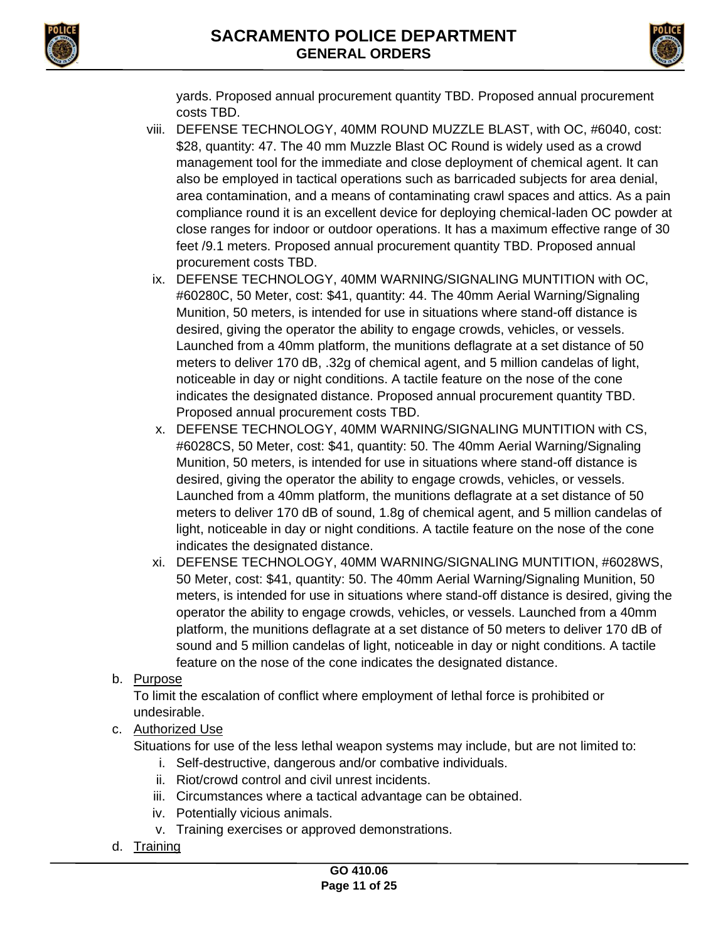



yards. Proposed annual procurement quantity TBD. Proposed annual procurement costs TBD.

- viii. DEFENSE TECHNOLOGY, 40MM ROUND MUZZLE BLAST, with OC, #6040, cost: \$28, quantity: 47. The 40 mm Muzzle Blast OC Round is widely used as a crowd management tool for the immediate and close deployment of chemical agent. It can also be employed in tactical operations such as barricaded subjects for area denial, area contamination, and a means of contaminating crawl spaces and attics. As a pain compliance round it is an excellent device for deploying chemical-laden OC powder at close ranges for indoor or outdoor operations. It has a maximum effective range of 30 feet /9.1 meters. Proposed annual procurement quantity TBD. Proposed annual procurement costs TBD.
- ix. DEFENSE TECHNOLOGY, 40MM WARNING/SIGNALING MUNTITION with OC, #60280C, 50 Meter, cost: \$41, quantity: 44. The 40mm Aerial Warning/Signaling Munition, 50 meters, is intended for use in situations where stand-off distance is desired, giving the operator the ability to engage crowds, vehicles, or vessels. Launched from a 40mm platform, the munitions deflagrate at a set distance of 50 meters to deliver 170 dB, .32g of chemical agent, and 5 million candelas of light, noticeable in day or night conditions. A tactile feature on the nose of the cone indicates the designated distance. Proposed annual procurement quantity TBD. Proposed annual procurement costs TBD.
- x. DEFENSE TECHNOLOGY, 40MM WARNING/SIGNALING MUNTITION with CS, #6028CS, 50 Meter, cost: \$41, quantity: 50. The 40mm Aerial Warning/Signaling Munition, 50 meters, is intended for use in situations where stand-off distance is desired, giving the operator the ability to engage crowds, vehicles, or vessels. Launched from a 40mm platform, the munitions deflagrate at a set distance of 50 meters to deliver 170 dB of sound, 1.8g of chemical agent, and 5 million candelas of light, noticeable in day or night conditions. A tactile feature on the nose of the cone indicates the designated distance.
- xi. DEFENSE TECHNOLOGY, 40MM WARNING/SIGNALING MUNTITION, #6028WS, 50 Meter, cost: \$41, quantity: 50. The 40mm Aerial Warning/Signaling Munition, 50 meters, is intended for use in situations where stand-off distance is desired, giving the operator the ability to engage crowds, vehicles, or vessels. Launched from a 40mm platform, the munitions deflagrate at a set distance of 50 meters to deliver 170 dB of sound and 5 million candelas of light, noticeable in day or night conditions. A tactile feature on the nose of the cone indicates the designated distance.

### b. Purpose

To limit the escalation of conflict where employment of lethal force is prohibited or undesirable.

c. Authorized Use

Situations for use of the less lethal weapon systems may include, but are not limited to:

- i. Self-destructive, dangerous and/or combative individuals.
- ii. Riot/crowd control and civil unrest incidents.
- iii. Circumstances where a tactical advantage can be obtained.
- iv. Potentially vicious animals.
- v. Training exercises or approved demonstrations.
- d. Training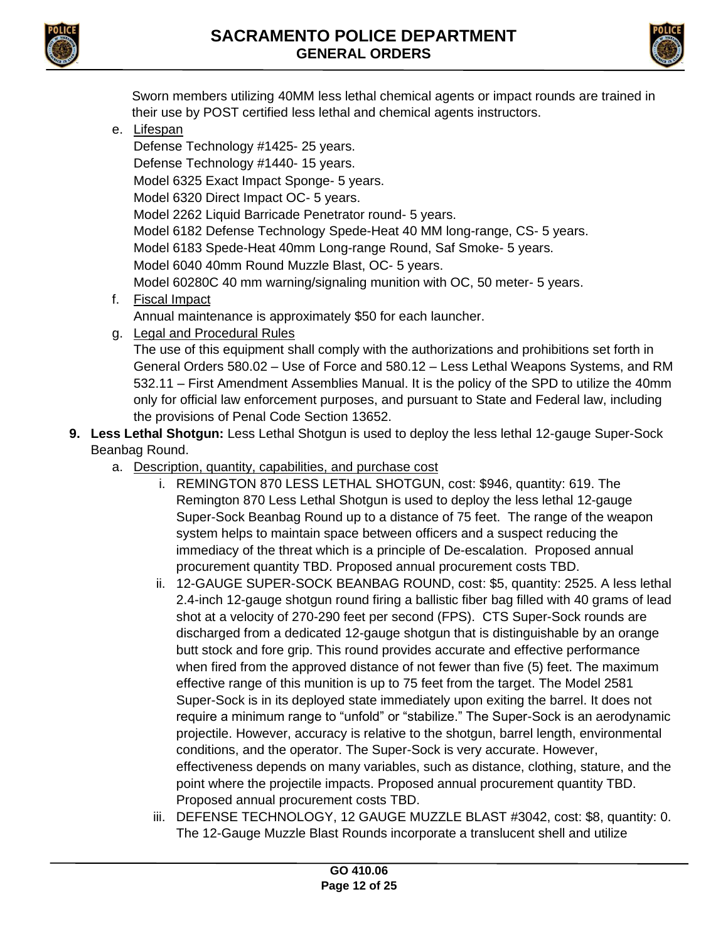



Sworn members utilizing 40MM less lethal chemical agents or impact rounds are trained in their use by POST certified less lethal and chemical agents instructors.

e. Lifespan

Defense Technology #1425- 25 years. Defense Technology #1440- 15 years. Model 6325 Exact Impact Sponge- 5 years. Model 6320 Direct Impact OC- 5 years. Model 2262 Liquid Barricade Penetrator round- 5 years. Model 6182 Defense Technology Spede-Heat 40 MM long-range, CS- 5 years. Model 6183 Spede-Heat 40mm Long-range Round, Saf Smoke- 5 years. Model 6040 40mm Round Muzzle Blast, OC- 5 years. Model 60280C 40 mm warning/signaling munition with OC, 50 meter- 5 years. f. Fiscal Impact

Annual maintenance is approximately \$50 for each launcher.

g. Legal and Procedural Rules

The use of this equipment shall comply with the authorizations and prohibitions set forth in General Orders 580.02 – Use of Force and 580.12 – Less Lethal Weapons Systems, and RM 532.11 – First Amendment Assemblies Manual. It is the policy of the SPD to utilize the 40mm only for official law enforcement purposes, and pursuant to State and Federal law, including the provisions of Penal Code Section 13652.

- **9. Less Lethal Shotgun:** Less Lethal Shotgun is used to deploy the less lethal 12-gauge Super-Sock Beanbag Round.
	- a. Description, quantity, capabilities, and purchase cost
		- i. REMINGTON 870 LESS LETHAL SHOTGUN, cost: \$946, quantity: 619. The Remington 870 Less Lethal Shotgun is used to deploy the less lethal 12-gauge Super-Sock Beanbag Round up to a distance of 75 feet. The range of the weapon system helps to maintain space between officers and a suspect reducing the immediacy of the threat which is a principle of De-escalation. Proposed annual procurement quantity TBD. Proposed annual procurement costs TBD.
		- ii. 12-GAUGE SUPER-SOCK BEANBAG ROUND, cost: \$5, quantity: 2525. A less lethal 2.4-inch 12-gauge shotgun round firing a ballistic fiber bag filled with 40 grams of lead shot at a velocity of 270-290 feet per second (FPS). CTS Super-Sock rounds are discharged from a dedicated 12-gauge shotgun that is distinguishable by an orange butt stock and fore grip. This round provides accurate and effective performance when fired from the approved distance of not fewer than five (5) feet. The maximum effective range of this munition is up to 75 feet from the target. The Model 2581 Super-Sock is in its deployed state immediately upon exiting the barrel. It does not require a minimum range to "unfold" or "stabilize." The Super-Sock is an aerodynamic projectile. However, accuracy is relative to the shotgun, barrel length, environmental conditions, and the operator. The Super-Sock is very accurate. However, effectiveness depends on many variables, such as distance, clothing, stature, and the point where the projectile impacts. Proposed annual procurement quantity TBD. Proposed annual procurement costs TBD.
		- iii. DEFENSE TECHNOLOGY, 12 GAUGE MUZZLE BLAST #3042, cost: \$8, quantity: 0. The 12-Gauge Muzzle Blast Rounds incorporate a translucent shell and utilize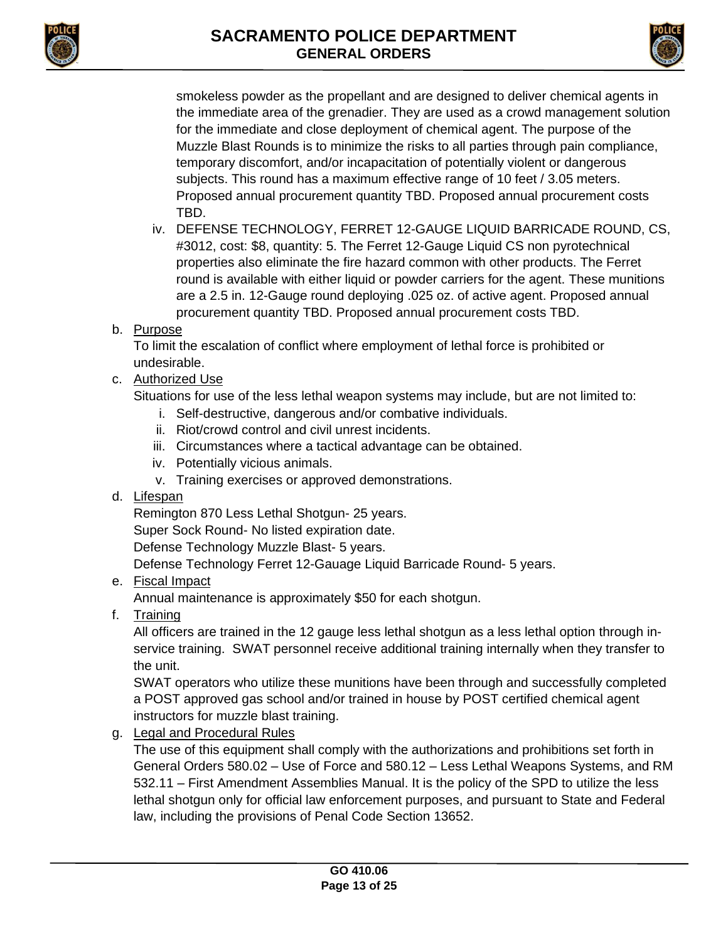



smokeless powder as the propellant and are designed to deliver chemical agents in the immediate area of the grenadier. They are used as a crowd management solution for the immediate and close deployment of chemical agent. The purpose of the Muzzle Blast Rounds is to minimize the risks to all parties through pain compliance, temporary discomfort, and/or incapacitation of potentially violent or dangerous subjects. This round has a maximum effective range of 10 feet / 3.05 meters. Proposed annual procurement quantity TBD. Proposed annual procurement costs TBD.

- iv. DEFENSE TECHNOLOGY, FERRET 12-GAUGE LIQUID BARRICADE ROUND, CS, #3012, cost: \$8, quantity: 5. The Ferret 12-Gauge Liquid CS non pyrotechnical properties also eliminate the fire hazard common with other products. The Ferret round is available with either liquid or powder carriers for the agent. These munitions are a 2.5 in. 12-Gauge round deploying .025 oz. of active agent. Proposed annual procurement quantity TBD. Proposed annual procurement costs TBD.
- b. Purpose

To limit the escalation of conflict where employment of lethal force is prohibited or undesirable.

c. Authorized Use

Situations for use of the less lethal weapon systems may include, but are not limited to:

- i. Self-destructive, dangerous and/or combative individuals.
- ii. Riot/crowd control and civil unrest incidents.
- iii. Circumstances where a tactical advantage can be obtained.
- iv. Potentially vicious animals.
- v. Training exercises or approved demonstrations.
- d. Lifespan

Remington 870 Less Lethal Shotgun- 25 years.

Super Sock Round- No listed expiration date.

Defense Technology Muzzle Blast- 5 years.

Defense Technology Ferret 12-Gauage Liquid Barricade Round- 5 years.

e. Fiscal Impact

Annual maintenance is approximately \$50 for each shotgun.

f. Training

All officers are trained in the 12 gauge less lethal shotgun as a less lethal option through inservice training. SWAT personnel receive additional training internally when they transfer to the unit.

SWAT operators who utilize these munitions have been through and successfully completed a POST approved gas school and/or trained in house by POST certified chemical agent instructors for muzzle blast training.

g. Legal and Procedural Rules

The use of this equipment shall comply with the authorizations and prohibitions set forth in General Orders 580.02 – Use of Force and 580.12 – Less Lethal Weapons Systems, and RM 532.11 – First Amendment Assemblies Manual. It is the policy of the SPD to utilize the less lethal shotgun only for official law enforcement purposes, and pursuant to State and Federal law, including the provisions of Penal Code Section 13652.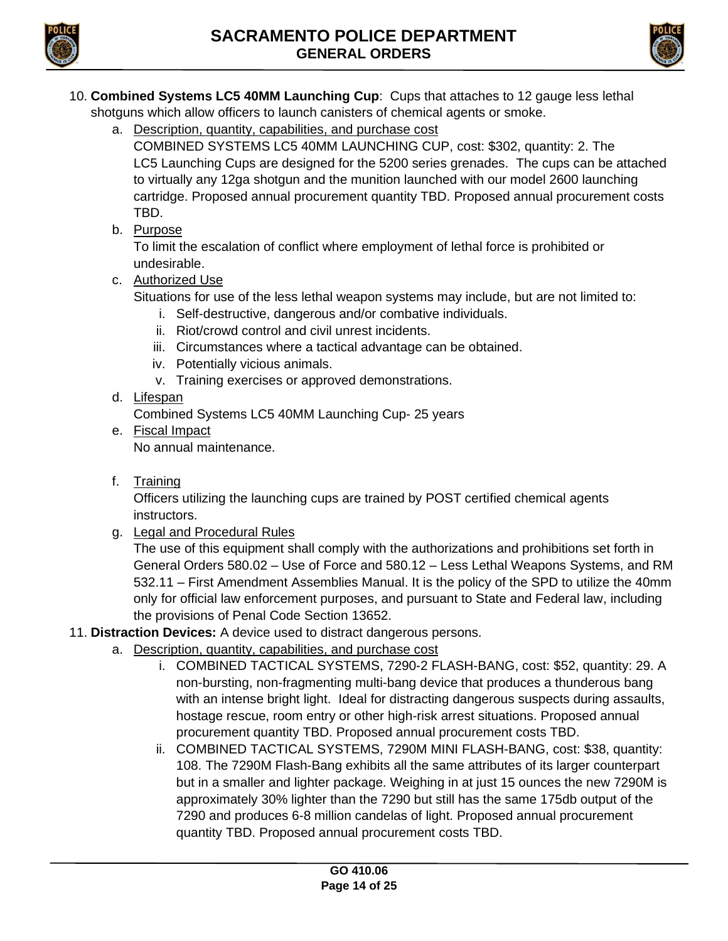



- 10. **Combined Systems LC5 40MM Launching Cup**: Cups that attaches to 12 gauge less lethal shotguns which allow officers to launch canisters of chemical agents or smoke.
	- a. Description, quantity, capabilities, and purchase cost
		- COMBINED SYSTEMS LC5 40MM LAUNCHING CUP, cost: \$302, quantity: 2. The LC5 Launching Cups are designed for the 5200 series grenades. The cups can be attached to virtually any 12ga shotgun and the munition launched with our model 2600 launching cartridge. Proposed annual procurement quantity TBD. Proposed annual procurement costs TBD.
	- b. Purpose

To limit the escalation of conflict where employment of lethal force is prohibited or undesirable.

c. Authorized Use

Situations for use of the less lethal weapon systems may include, but are not limited to:

- i. Self-destructive, dangerous and/or combative individuals.
- ii. Riot/crowd control and civil unrest incidents.
- iii. Circumstances where a tactical advantage can be obtained.
- iv. Potentially vicious animals.
- v. Training exercises or approved demonstrations.
- d. Lifespan

Combined Systems LC5 40MM Launching Cup- 25 years

- e. Fiscal Impact No annual maintenance.
- f. Training

Officers utilizing the launching cups are trained by POST certified chemical agents instructors.

g. Legal and Procedural Rules

The use of this equipment shall comply with the authorizations and prohibitions set forth in General Orders 580.02 – Use of Force and 580.12 – Less Lethal Weapons Systems, and RM 532.11 – First Amendment Assemblies Manual. It is the policy of the SPD to utilize the 40mm only for official law enforcement purposes, and pursuant to State and Federal law, including the provisions of Penal Code Section 13652.

- 11. **Distraction Devices:** A device used to distract dangerous persons.
	- a. Description, quantity, capabilities, and purchase cost
		- i. COMBINED TACTICAL SYSTEMS, 7290-2 FLASH-BANG, cost: \$52, quantity: 29. A non-bursting, non-fragmenting multi-bang device that produces a thunderous bang with an intense bright light. Ideal for distracting dangerous suspects during assaults, hostage rescue, room entry or other high-risk arrest situations. Proposed annual procurement quantity TBD. Proposed annual procurement costs TBD.
		- ii. COMBINED TACTICAL SYSTEMS, 7290M MINI FLASH-BANG, cost: \$38, quantity: 108. The 7290M Flash-Bang exhibits all the same attributes of its larger counterpart but in a smaller and lighter package. Weighing in at just 15 ounces the new 7290M is approximately 30% lighter than the 7290 but still has the same 175db output of the 7290 and produces 6-8 million candelas of light. Proposed annual procurement quantity TBD. Proposed annual procurement costs TBD.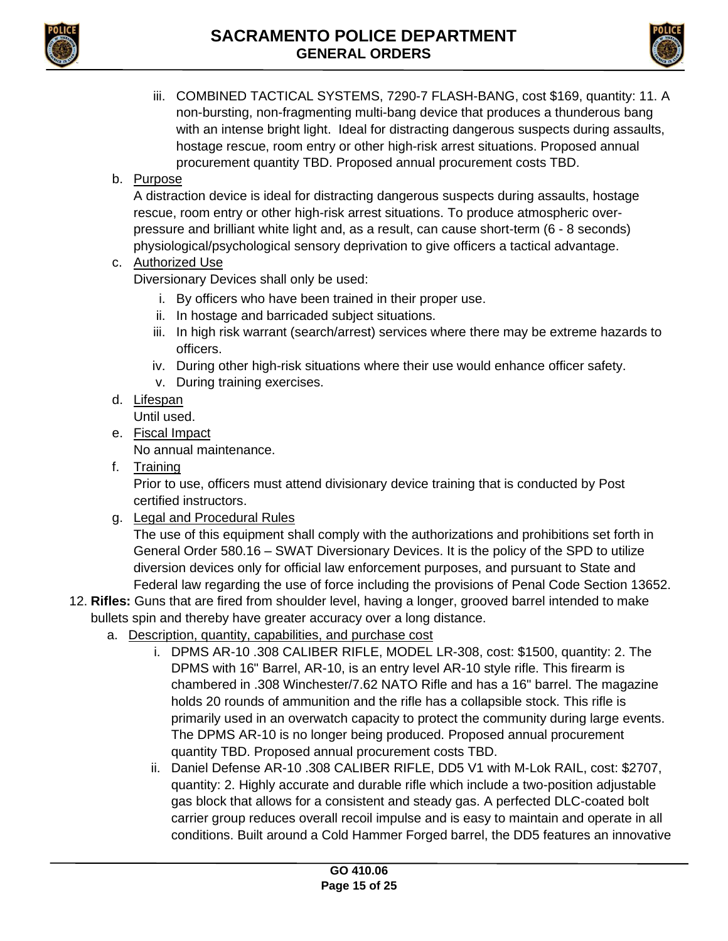



iii. COMBINED TACTICAL SYSTEMS, 7290-7 FLASH-BANG, cost \$169, quantity: 11. A non-bursting, non-fragmenting multi-bang device that produces a thunderous bang with an intense bright light. Ideal for distracting dangerous suspects during assaults, hostage rescue, room entry or other high-risk arrest situations. Proposed annual procurement quantity TBD. Proposed annual procurement costs TBD.

## b. Purpose

A distraction device is ideal for distracting dangerous suspects during assaults, hostage rescue, room entry or other high-risk arrest situations. To produce atmospheric overpressure and brilliant white light and, as a result, can cause short-term (6 - 8 seconds) physiological/psychological sensory deprivation to give officers a tactical advantage.

### c. Authorized Use

Diversionary Devices shall only be used:

- i. By officers who have been trained in their proper use.
- ii. In hostage and barricaded subject situations.
- iii. In high risk warrant (search/arrest) services where there may be extreme hazards to officers.
- iv. During other high-risk situations where their use would enhance officer safety.
- v. During training exercises.
- d. Lifespan

Until used.

e. Fiscal Impact

No annual maintenance.

f. Training

Prior to use, officers must attend divisionary device training that is conducted by Post certified instructors.

g. Legal and Procedural Rules

The use of this equipment shall comply with the authorizations and prohibitions set forth in General Order 580.16 – SWAT Diversionary Devices. It is the policy of the SPD to utilize diversion devices only for official law enforcement purposes, and pursuant to State and Federal law regarding the use of force including the provisions of Penal Code Section 13652.

## 12. **Rifles:** Guns that are fired from shoulder level, having a longer, grooved barrel intended to make bullets spin and thereby have greater accuracy over a long distance.

- a. Description, quantity, capabilities, and purchase cost
	- i. DPMS AR-10 .308 CALIBER RIFLE, MODEL LR-308, cost: \$1500, quantity: 2. The DPMS with 16" Barrel, AR-10, is an entry level AR-10 style rifle. This firearm is chambered in .308 Winchester/7.62 NATO Rifle and has a 16" barrel. The magazine holds 20 rounds of ammunition and the rifle has a collapsible stock. This rifle is primarily used in an overwatch capacity to protect the community during large events. The DPMS AR-10 is no longer being produced. Proposed annual procurement quantity TBD. Proposed annual procurement costs TBD.
	- ii. Daniel Defense AR-10 .308 CALIBER RIFLE, DD5 V1 with M-Lok RAIL, cost: \$2707, quantity: 2. Highly accurate and durable rifle which include a two-position adjustable gas block that allows for a consistent and steady gas. A perfected DLC-coated bolt carrier group reduces overall recoil impulse and is easy to maintain and operate in all conditions. Built around a Cold Hammer Forged barrel, the DD5 features an innovative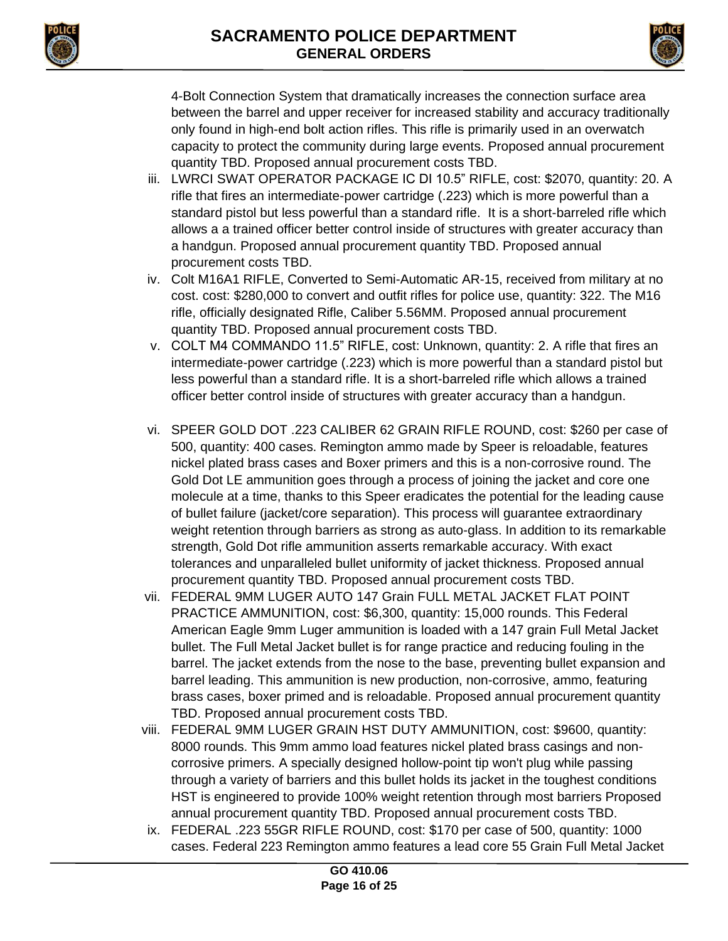



4-Bolt Connection System that dramatically increases the connection surface area between the barrel and upper receiver for increased stability and accuracy traditionally only found in high-end bolt action rifles. This rifle is primarily used in an overwatch capacity to protect the community during large events. Proposed annual procurement quantity TBD. Proposed annual procurement costs TBD.

- iii. LWRCI SWAT OPERATOR PACKAGE IC DI 10.5" RIFLE, cost: \$2070, quantity: 20. A rifle that fires an intermediate-power cartridge (.223) which is more powerful than a standard pistol but less powerful than a standard rifle. It is a short-barreled rifle which allows a a trained officer better control inside of structures with greater accuracy than a handgun. Proposed annual procurement quantity TBD. Proposed annual procurement costs TBD.
- iv. Colt M16A1 RIFLE, Converted to Semi-Automatic AR-15, received from military at no cost. cost: \$280,000 to convert and outfit rifles for police use, quantity: 322. The M16 rifle, officially designated Rifle, Caliber 5.56MM. Proposed annual procurement quantity TBD. Proposed annual procurement costs TBD.
- v. COLT M4 COMMANDO 11.5" RIFLE, cost: Unknown, quantity: 2. A rifle that fires an intermediate-power cartridge (.223) which is more powerful than a standard pistol but less powerful than a standard rifle. It is a short-barreled rifle which allows a trained officer better control inside of structures with greater accuracy than a handgun.
- vi. SPEER GOLD DOT .223 CALIBER 62 GRAIN RIFLE ROUND, cost: \$260 per case of 500, quantity: 400 cases. Remington ammo made by Speer is reloadable, features nickel plated brass cases and Boxer primers and this is a non-corrosive round. The Gold Dot LE ammunition goes through a process of joining the jacket and core one molecule at a time, thanks to this Speer eradicates the potential for the leading cause of bullet failure (jacket/core separation). This process will guarantee extraordinary weight retention through barriers as strong as auto-glass. In addition to its remarkable strength, Gold Dot rifle ammunition asserts remarkable accuracy. With exact tolerances and unparalleled bullet uniformity of jacket thickness. Proposed annual procurement quantity TBD. Proposed annual procurement costs TBD.
- vii. FEDERAL 9MM LUGER AUTO 147 Grain FULL METAL JACKET FLAT POINT PRACTICE AMMUNITION, cost: \$6,300, quantity: 15,000 rounds. This Federal American Eagle 9mm Luger ammunition is loaded with a 147 grain Full Metal Jacket bullet. The Full Metal Jacket bullet is for range practice and reducing fouling in the barrel. The jacket extends from the nose to the base, preventing bullet expansion and barrel leading. This ammunition is new production, non-corrosive, ammo, featuring brass cases, boxer primed and is reloadable. Proposed annual procurement quantity TBD. Proposed annual procurement costs TBD.
- viii. FEDERAL 9MM LUGER GRAIN HST DUTY AMMUNITION, cost: \$9600, quantity: 8000 rounds. This 9mm ammo load features nickel plated brass casings and noncorrosive primers. A specially designed hollow-point tip won't plug while passing through a variety of barriers and this bullet holds its jacket in the toughest conditions HST is engineered to provide 100% weight retention through most barriers Proposed annual procurement quantity TBD. Proposed annual procurement costs TBD.
- ix. FEDERAL .223 55GR RIFLE ROUND, cost: \$170 per case of 500, quantity: 1000 cases. Federal 223 Remington ammo features a lead core 55 Grain Full Metal Jacket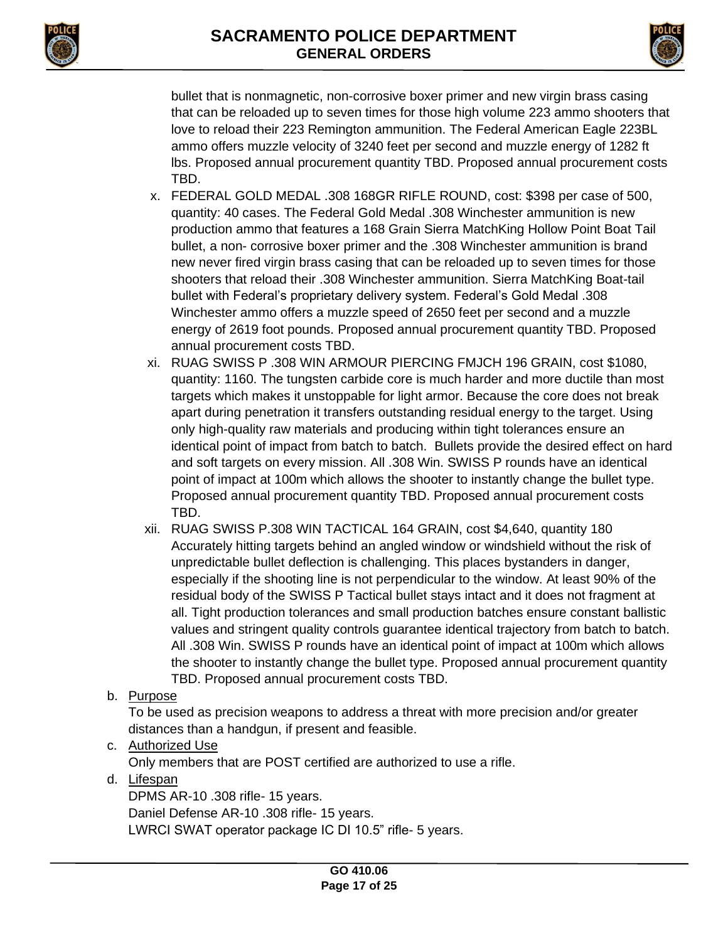



bullet that is nonmagnetic, non-corrosive boxer primer and new virgin brass casing that can be reloaded up to seven times for those high volume 223 ammo shooters that love to reload their 223 Remington ammunition. The Federal American Eagle 223BL ammo offers muzzle velocity of 3240 feet per second and muzzle energy of 1282 ft lbs. Proposed annual procurement quantity TBD. Proposed annual procurement costs TBD.

- x. FEDERAL GOLD MEDAL .308 168GR RIFLE ROUND, cost: \$398 per case of 500, quantity: 40 cases. The Federal Gold Medal .308 Winchester ammunition is new production ammo that features a 168 Grain Sierra MatchKing Hollow Point Boat Tail bullet, a non- corrosive boxer primer and the .308 Winchester ammunition is brand new never fired virgin brass casing that can be reloaded up to seven times for those shooters that reload their .308 Winchester ammunition. Sierra MatchKing Boat-tail bullet with Federal's proprietary delivery system. Federal's Gold Medal .308 Winchester ammo offers a muzzle speed of 2650 feet per second and a muzzle energy of 2619 foot pounds. Proposed annual procurement quantity TBD. Proposed annual procurement costs TBD.
- xi. RUAG SWISS P .308 WIN ARMOUR PIERCING FMJCH 196 GRAIN, cost \$1080, quantity: 1160. The tungsten carbide core is much harder and more ductile than most targets which makes it unstoppable for light armor. Because the core does not break apart during penetration it transfers outstanding residual energy to the target. Using only high-quality raw materials and producing within tight tolerances ensure an identical point of impact from batch to batch. Bullets provide the desired effect on hard and soft targets on every mission. All .308 Win. SWISS P rounds have an identical point of impact at 100m which allows the shooter to instantly change the bullet type. Proposed annual procurement quantity TBD. Proposed annual procurement costs TBD.
- xii. RUAG SWISS P.308 WIN TACTICAL 164 GRAIN, cost \$4,640, quantity 180 Accurately hitting targets behind an angled window or windshield without the risk of unpredictable bullet deflection is challenging. This places bystanders in danger, especially if the shooting line is not perpendicular to the window. At least 90% of the residual body of the SWISS P Tactical bullet stays intact and it does not fragment at all. Tight production tolerances and small production batches ensure constant ballistic values and stringent quality controls guarantee identical trajectory from batch to batch. All .308 Win. SWISS P rounds have an identical point of impact at 100m which allows the shooter to instantly change the bullet type. Proposed annual procurement quantity TBD. Proposed annual procurement costs TBD.

### b. Purpose

To be used as precision weapons to address a threat with more precision and/or greater distances than a handgun, if present and feasible.

c. Authorized Use

Only members that are POST certified are authorized to use a rifle.

d. Lifespan

DPMS AR-10 .308 rifle- 15 years. Daniel Defense AR-10 .308 rifle- 15 years. LWRCI SWAT operator package IC DI 10.5" rifle- 5 years.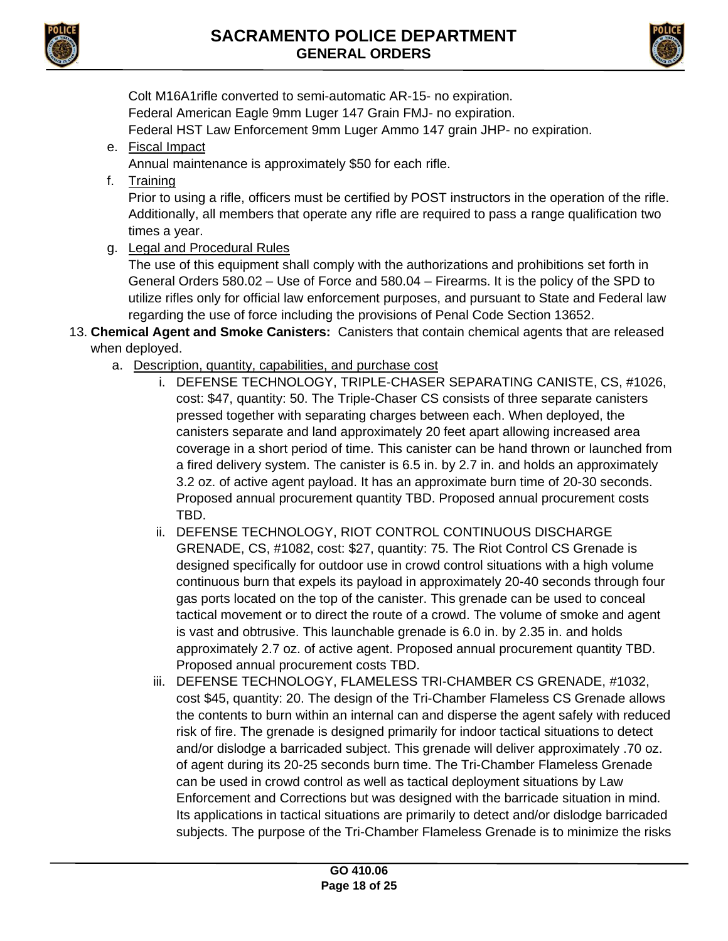



Colt M16A1rifle converted to semi-automatic AR-15- no expiration. Federal American Eagle 9mm Luger 147 Grain FMJ- no expiration. Federal HST Law Enforcement 9mm Luger Ammo 147 grain JHP- no expiration.

e. Fiscal Impact

Annual maintenance is approximately \$50 for each rifle.

f. Training

Prior to using a rifle, officers must be certified by POST instructors in the operation of the rifle. Additionally, all members that operate any rifle are required to pass a range qualification two times a year.

g. Legal and Procedural Rules

The use of this equipment shall comply with the authorizations and prohibitions set forth in General Orders 580.02 – Use of Force and 580.04 – Firearms. It is the policy of the SPD to utilize rifles only for official law enforcement purposes, and pursuant to State and Federal law regarding the use of force including the provisions of Penal Code Section 13652.

- 13. **Chemical Agent and Smoke Canisters:** Canisters that contain chemical agents that are released when deployed.
	- a. Description, quantity, capabilities, and purchase cost
		- i. DEFENSE TECHNOLOGY, TRIPLE-CHASER SEPARATING CANISTE, CS, #1026, cost: \$47, quantity: 50. The Triple-Chaser CS consists of three separate canisters pressed together with separating charges between each. When deployed, the canisters separate and land approximately 20 feet apart allowing increased area coverage in a short period of time. This canister can be hand thrown or launched from a fired delivery system. The canister is 6.5 in. by 2.7 in. and holds an approximately 3.2 oz. of active agent payload. It has an approximate burn time of 20-30 seconds. Proposed annual procurement quantity TBD. Proposed annual procurement costs TBD.
		- ii. DEFENSE TECHNOLOGY, RIOT CONTROL CONTINUOUS DISCHARGE GRENADE, CS, #1082, cost: \$27, quantity: 75. The Riot Control CS Grenade is designed specifically for outdoor use in crowd control situations with a high volume continuous burn that expels its payload in approximately 20-40 seconds through four gas ports located on the top of the canister. This grenade can be used to conceal tactical movement or to direct the route of a crowd. The volume of smoke and agent is vast and obtrusive. This launchable grenade is 6.0 in. by 2.35 in. and holds approximately 2.7 oz. of active agent. Proposed annual procurement quantity TBD. Proposed annual procurement costs TBD.
		- iii. DEFENSE TECHNOLOGY, FLAMELESS TRI-CHAMBER CS GRENADE, #1032, cost \$45, quantity: 20. The design of the Tri-Chamber Flameless CS Grenade allows the contents to burn within an internal can and disperse the agent safely with reduced risk of fire. The grenade is designed primarily for indoor tactical situations to detect and/or dislodge a barricaded subject. This grenade will deliver approximately .70 oz. of agent during its 20-25 seconds burn time. The Tri-Chamber Flameless Grenade can be used in crowd control as well as tactical deployment situations by Law Enforcement and Corrections but was designed with the barricade situation in mind. Its applications in tactical situations are primarily to detect and/or dislodge barricaded subjects. The purpose of the Tri-Chamber Flameless Grenade is to minimize the risks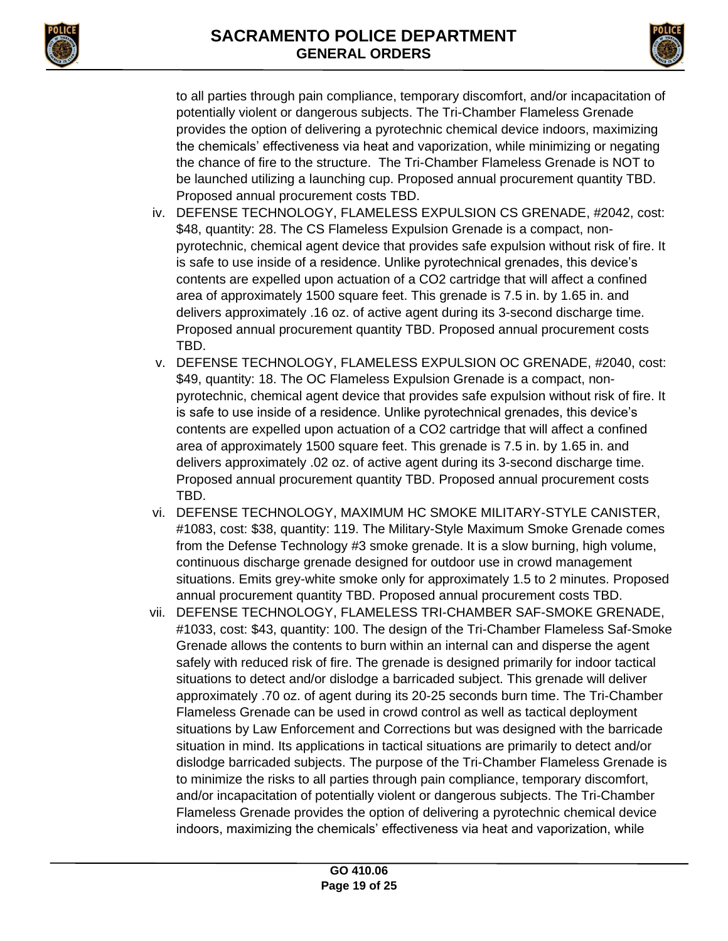



to all parties through pain compliance, temporary discomfort, and/or incapacitation of potentially violent or dangerous subjects. The Tri-Chamber Flameless Grenade provides the option of delivering a pyrotechnic chemical device indoors, maximizing the chemicals' effectiveness via heat and vaporization, while minimizing or negating the chance of fire to the structure. The Tri-Chamber Flameless Grenade is NOT to be launched utilizing a launching cup. Proposed annual procurement quantity TBD. Proposed annual procurement costs TBD.

- iv. DEFENSE TECHNOLOGY, FLAMELESS EXPULSION CS GRENADE, #2042, cost: \$48, quantity: 28. The CS Flameless Expulsion Grenade is a compact, nonpyrotechnic, chemical agent device that provides safe expulsion without risk of fire. It is safe to use inside of a residence. Unlike pyrotechnical grenades, this device's contents are expelled upon actuation of a CO2 cartridge that will affect a confined area of approximately 1500 square feet. This grenade is 7.5 in. by 1.65 in. and delivers approximately .16 oz. of active agent during its 3-second discharge time. Proposed annual procurement quantity TBD. Proposed annual procurement costs TBD.
- v. DEFENSE TECHNOLOGY, FLAMELESS EXPULSION OC GRENADE, #2040, cost: \$49, quantity: 18. The OC Flameless Expulsion Grenade is a compact, nonpyrotechnic, chemical agent device that provides safe expulsion without risk of fire. It is safe to use inside of a residence. Unlike pyrotechnical grenades, this device's contents are expelled upon actuation of a CO2 cartridge that will affect a confined area of approximately 1500 square feet. This grenade is 7.5 in. by 1.65 in. and delivers approximately .02 oz. of active agent during its 3-second discharge time. Proposed annual procurement quantity TBD. Proposed annual procurement costs TBD.
- vi. DEFENSE TECHNOLOGY, MAXIMUM HC SMOKE MILITARY-STYLE CANISTER, #1083, cost: \$38, quantity: 119. The Military-Style Maximum Smoke Grenade comes from the Defense Technology #3 smoke grenade. It is a slow burning, high volume, continuous discharge grenade designed for outdoor use in crowd management situations. Emits grey-white smoke only for approximately 1.5 to 2 minutes. Proposed annual procurement quantity TBD. Proposed annual procurement costs TBD.
- vii. DEFENSE TECHNOLOGY, FLAMELESS TRI-CHAMBER SAF-SMOKE GRENADE, #1033, cost: \$43, quantity: 100. The design of the Tri-Chamber Flameless Saf-Smoke Grenade allows the contents to burn within an internal can and disperse the agent safely with reduced risk of fire. The grenade is designed primarily for indoor tactical situations to detect and/or dislodge a barricaded subject. This grenade will deliver approximately .70 oz. of agent during its 20-25 seconds burn time. The Tri-Chamber Flameless Grenade can be used in crowd control as well as tactical deployment situations by Law Enforcement and Corrections but was designed with the barricade situation in mind. Its applications in tactical situations are primarily to detect and/or dislodge barricaded subjects. The purpose of the Tri-Chamber Flameless Grenade is to minimize the risks to all parties through pain compliance, temporary discomfort, and/or incapacitation of potentially violent or dangerous subjects. The Tri-Chamber Flameless Grenade provides the option of delivering a pyrotechnic chemical device indoors, maximizing the chemicals' effectiveness via heat and vaporization, while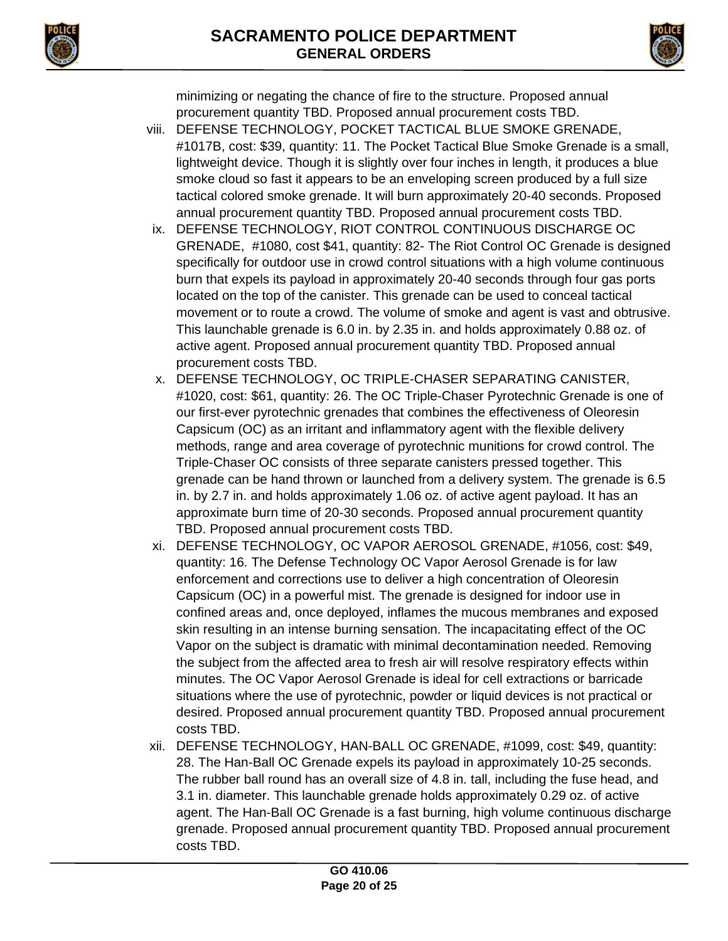



minimizing or negating the chance of fire to the structure. Proposed annual procurement quantity TBD. Proposed annual procurement costs TBD.

- viii. DEFENSE TECHNOLOGY, POCKET TACTICAL BLUE SMOKE GRENADE, #1017B, cost: \$39, quantity: 11. The Pocket Tactical Blue Smoke Grenade is a small, lightweight device. Though it is slightly over four inches in length, it produces a blue smoke cloud so fast it appears to be an enveloping screen produced by a full size tactical colored smoke grenade. It will burn approximately 20-40 seconds. Proposed annual procurement quantity TBD. Proposed annual procurement costs TBD.
- ix. DEFENSE TECHNOLOGY, RIOT CONTROL CONTINUOUS DISCHARGE OC GRENADE, #1080, cost \$41, quantity: 82- The Riot Control OC Grenade is designed specifically for outdoor use in crowd control situations with a high volume continuous burn that expels its payload in approximately 20-40 seconds through four gas ports located on the top of the canister. This grenade can be used to conceal tactical movement or to route a crowd. The volume of smoke and agent is vast and obtrusive. This launchable grenade is 6.0 in. by 2.35 in. and holds approximately 0.88 oz. of active agent. Proposed annual procurement quantity TBD. Proposed annual procurement costs TBD.
- x. DEFENSE TECHNOLOGY, OC TRIPLE-CHASER SEPARATING CANISTER, #1020, cost: \$61, quantity: 26. The OC Triple-Chaser Pyrotechnic Grenade is one of our first-ever pyrotechnic grenades that combines the effectiveness of Oleoresin Capsicum (OC) as an irritant and inflammatory agent with the flexible delivery methods, range and area coverage of pyrotechnic munitions for crowd control. The Triple-Chaser OC consists of three separate canisters pressed together. This grenade can be hand thrown or launched from a delivery system. The grenade is 6.5 in. by 2.7 in. and holds approximately 1.06 oz. of active agent payload. It has an approximate burn time of 20-30 seconds. Proposed annual procurement quantity TBD. Proposed annual procurement costs TBD.
- xi. DEFENSE TECHNOLOGY, OC VAPOR AEROSOL GRENADE, #1056, cost: \$49, quantity: 16. The Defense Technology OC Vapor Aerosol Grenade is for law enforcement and corrections use to deliver a high concentration of Oleoresin Capsicum (OC) in a powerful mist. The grenade is designed for indoor use in confined areas and, once deployed, inflames the mucous membranes and exposed skin resulting in an intense burning sensation. The incapacitating effect of the OC Vapor on the subject is dramatic with minimal decontamination needed. Removing the subject from the affected area to fresh air will resolve respiratory effects within minutes. The OC Vapor Aerosol Grenade is ideal for cell extractions or barricade situations where the use of pyrotechnic, powder or liquid devices is not practical or desired. Proposed annual procurement quantity TBD. Proposed annual procurement costs TBD.
- xii. DEFENSE TECHNOLOGY, HAN-BALL OC GRENADE, #1099, cost: \$49, quantity: 28. The Han-Ball OC Grenade expels its payload in approximately 10-25 seconds. The rubber ball round has an overall size of 4.8 in. tall, including the fuse head, and 3.1 in. diameter. This launchable grenade holds approximately 0.29 oz. of active agent. The Han-Ball OC Grenade is a fast burning, high volume continuous discharge grenade. Proposed annual procurement quantity TBD. Proposed annual procurement costs TBD.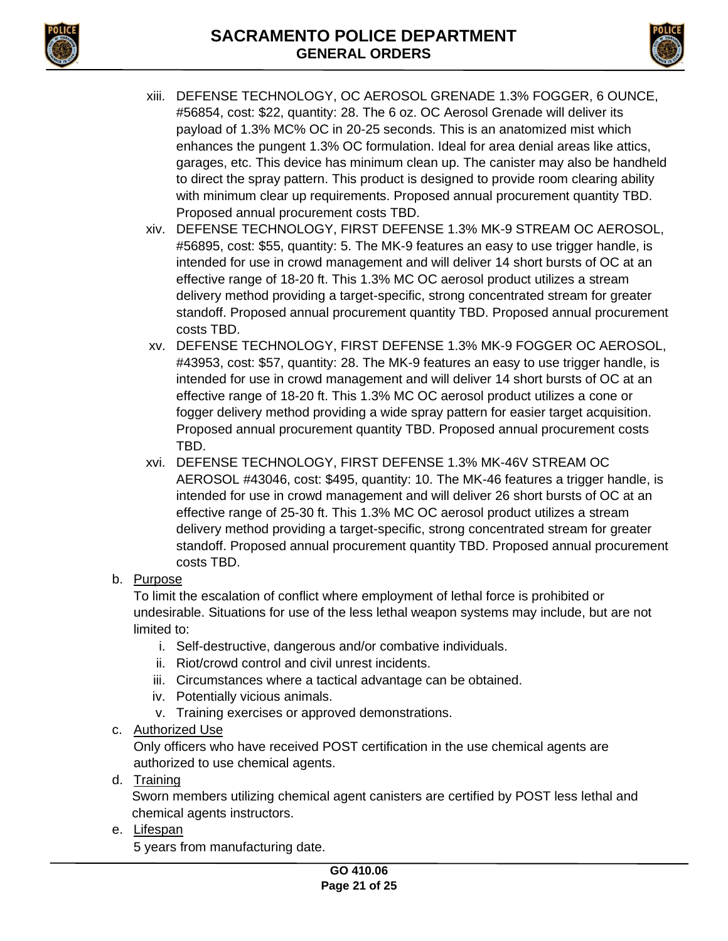



- xiii. DEFENSE TECHNOLOGY, OC AEROSOL GRENADE 1.3% FOGGER, 6 OUNCE, #56854, cost: \$22, quantity: 28. The 6 oz. OC Aerosol Grenade will deliver its payload of 1.3% MC% OC in 20-25 seconds. This is an anatomized mist which enhances the pungent 1.3% OC formulation. Ideal for area denial areas like attics, garages, etc. This device has minimum clean up. The canister may also be handheld to direct the spray pattern. This product is designed to provide room clearing ability with minimum clear up requirements. Proposed annual procurement quantity TBD. Proposed annual procurement costs TBD.
- xiv. DEFENSE TECHNOLOGY, FIRST DEFENSE 1.3% MK-9 STREAM OC AEROSOL, #56895, cost: \$55, quantity: 5. The MK-9 features an easy to use trigger handle, is intended for use in crowd management and will deliver 14 short bursts of OC at an effective range of 18-20 ft. This 1.3% MC OC aerosol product utilizes a stream delivery method providing a target-specific, strong concentrated stream for greater standoff. Proposed annual procurement quantity TBD. Proposed annual procurement costs TBD.
- xv. DEFENSE TECHNOLOGY, FIRST DEFENSE 1.3% MK-9 FOGGER OC AEROSOL, #43953, cost: \$57, quantity: 28. The MK-9 features an easy to use trigger handle, is intended for use in crowd management and will deliver 14 short bursts of OC at an effective range of 18-20 ft. This 1.3% MC OC aerosol product utilizes a cone or fogger delivery method providing a wide spray pattern for easier target acquisition. Proposed annual procurement quantity TBD. Proposed annual procurement costs TBD.
- xvi. DEFENSE TECHNOLOGY, FIRST DEFENSE 1.3% MK-46V STREAM OC AEROSOL #43046, cost: \$495, quantity: 10. The MK-46 features a trigger handle, is intended for use in crowd management and will deliver 26 short bursts of OC at an effective range of 25-30 ft. This 1.3% MC OC aerosol product utilizes a stream delivery method providing a target-specific, strong concentrated stream for greater standoff. Proposed annual procurement quantity TBD. Proposed annual procurement costs TBD.

## b. Purpose

To limit the escalation of conflict where employment of lethal force is prohibited or undesirable. Situations for use of the less lethal weapon systems may include, but are not limited to:

- i. Self-destructive, dangerous and/or combative individuals.
- ii. Riot/crowd control and civil unrest incidents.
- iii. Circumstances where a tactical advantage can be obtained.
- iv. Potentially vicious animals.
- v. Training exercises or approved demonstrations.
- c. Authorized Use

Only officers who have received POST certification in the use chemical agents are authorized to use chemical agents.

d. Training

Sworn members utilizing chemical agent canisters are certified by POST less lethal and chemical agents instructors.

e. Lifespan

5 years from manufacturing date.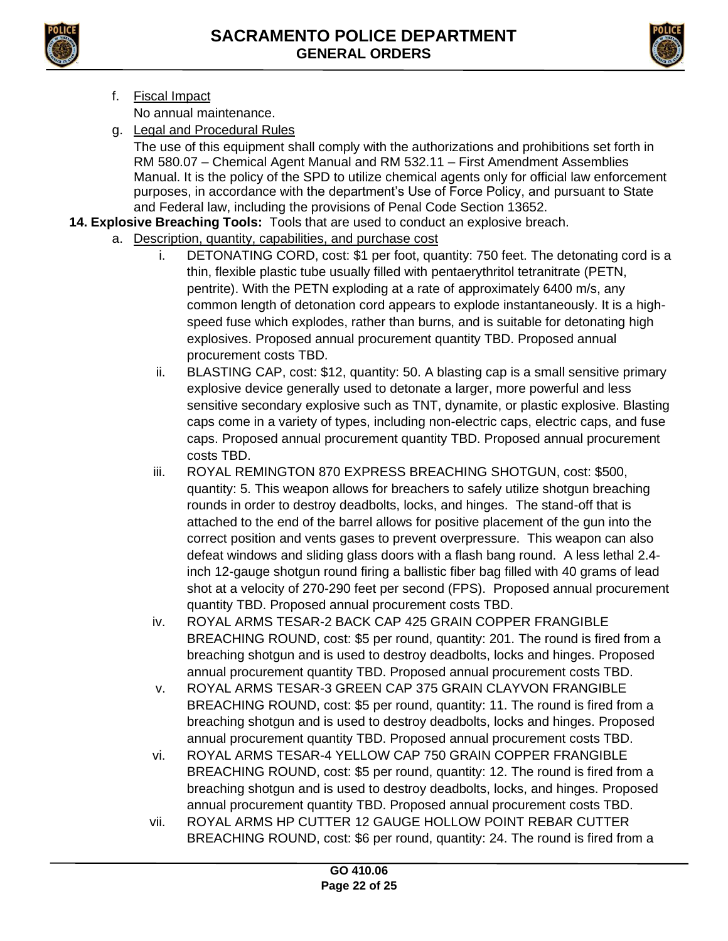



- f. Fiscal Impact No annual maintenance.
- g. Legal and Procedural Rules

The use of this equipment shall comply with the authorizations and prohibitions set forth in RM 580.07 – Chemical Agent Manual and RM 532.11 – First Amendment Assemblies Manual. It is the policy of the SPD to utilize chemical agents only for official law enforcement purposes, in accordance with the department's Use of Force Policy, and pursuant to State and Federal law, including the provisions of Penal Code Section 13652.

- **14. Explosive Breaching Tools:** Tools that are used to conduct an explosive breach.
	- a. Description, quantity, capabilities, and purchase cost
		- i. DETONATING CORD, cost: \$1 per foot, quantity: 750 feet. The detonating cord is a thin, flexible plastic tube usually filled with [pentaerythritol tetranitrate](https://en.wikipedia.org/wiki/Pentaerythritol_tetranitrate) (PETN, pentrite). With the PETN exploding at a rate of approximately 6400 m/s, any common length of detonation cord appears to explode instantaneously. It is a highspeed [fuse](https://en.wikipedia.org/wiki/Fuse_(explosives)) which explodes, rather than burns, and is suitable for detonating [high](https://en.wikipedia.org/wiki/Explosive_material#High_explosives)  [explosives.](https://en.wikipedia.org/wiki/Explosive_material#High_explosives) Proposed annual procurement quantity TBD. Proposed annual procurement costs TBD.
		- ii. BLASTING CAP, cost: \$12, quantity: 50. A blasting cap is a small sensitive primary explosive device generally used to detonate a larger, more powerful and less sensitive secondary explosive such as TNT, dynamite, or plastic explosive. Blasting caps come in a variety of types, including non-electric caps, electric caps, and fuse caps. Proposed annual procurement quantity TBD. Proposed annual procurement costs TBD.
		- iii. ROYAL REMINGTON 870 EXPRESS BREACHING SHOTGUN, cost: \$500, quantity: 5. This weapon allows for breachers to safely utilize shotgun breaching rounds in order to destroy deadbolts, locks, and hinges. The stand-off that is attached to the end of the barrel allows for positive placement of the gun into the correct position and vents gases to prevent overpressure. This weapon can also defeat windows and sliding glass doors with a flash bang round. A less lethal 2.4 inch 12-gauge shotgun round firing a ballistic fiber bag filled with 40 grams of lead shot at a velocity of 270-290 feet per second (FPS). Proposed annual procurement quantity TBD. Proposed annual procurement costs TBD.
		- iv. ROYAL ARMS TESAR-2 BACK CAP 425 GRAIN COPPER FRANGIBLE BREACHING ROUND, cost: \$5 per round, quantity: 201. The round is fired from a breaching shotgun and is used to destroy deadbolts, locks and hinges. Proposed annual procurement quantity TBD. Proposed annual procurement costs TBD.
		- v. ROYAL ARMS TESAR-3 GREEN CAP 375 GRAIN CLAYVON FRANGIBLE BREACHING ROUND, cost: \$5 per round, quantity: 11. The round is fired from a breaching shotgun and is used to destroy deadbolts, locks and hinges. Proposed annual procurement quantity TBD. Proposed annual procurement costs TBD.
		- vi. ROYAL ARMS TESAR-4 YELLOW CAP 750 GRAIN COPPER FRANGIBLE BREACHING ROUND, cost: \$5 per round, quantity: 12. The round is fired from a breaching shotgun and is used to destroy deadbolts, locks, and hinges. Proposed annual procurement quantity TBD. Proposed annual procurement costs TBD.
		- vii. ROYAL ARMS HP CUTTER 12 GAUGE HOLLOW POINT REBAR CUTTER BREACHING ROUND, cost: \$6 per round, quantity: 24. The round is fired from a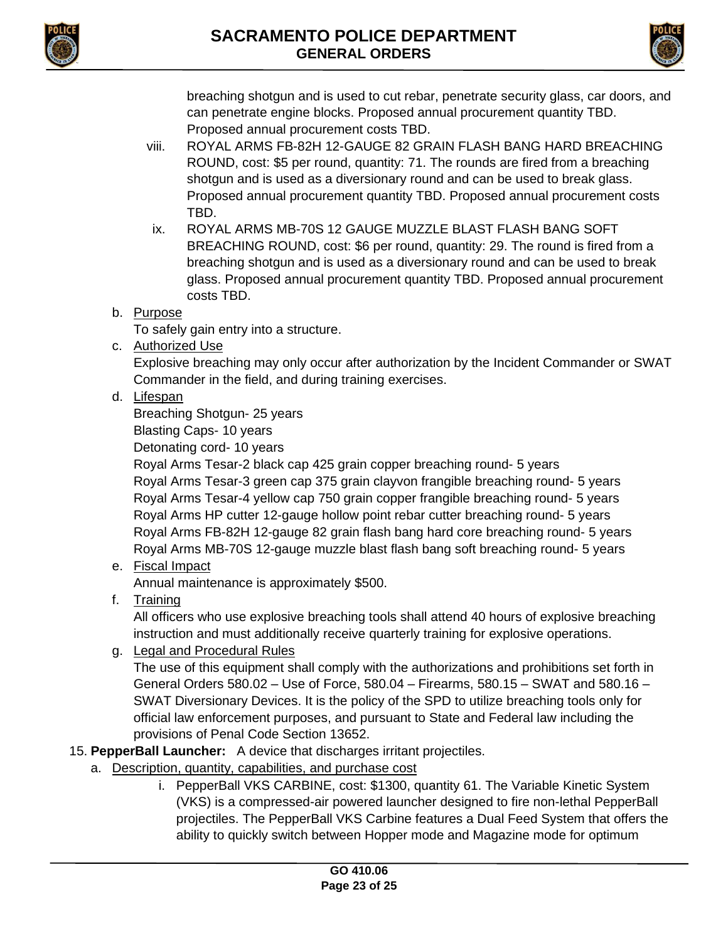



breaching shotgun and is used to cut rebar, penetrate security glass, car doors, and can penetrate engine blocks. Proposed annual procurement quantity TBD. Proposed annual procurement costs TBD.

- viii. ROYAL ARMS FB-82H 12-GAUGE 82 GRAIN FLASH BANG HARD BREACHING ROUND, cost: \$5 per round, quantity: 71. The rounds are fired from a breaching shotgun and is used as a diversionary round and can be used to break glass. Proposed annual procurement quantity TBD. Proposed annual procurement costs TBD.
- ix. ROYAL ARMS MB-70S 12 GAUGE MUZZLE BLAST FLASH BANG SOFT BREACHING ROUND, cost: \$6 per round, quantity: 29. The round is fired from a breaching shotgun and is used as a diversionary round and can be used to break glass. Proposed annual procurement quantity TBD. Proposed annual procurement costs TBD.
- b. Purpose

To safely gain entry into a structure.

c. Authorized Use

Explosive breaching may only occur after authorization by the Incident Commander or SWAT Commander in the field, and during training exercises.

d. Lifespan

Breaching Shotgun- 25 years

Blasting Caps- 10 years

Detonating cord- 10 years

Royal Arms Tesar-2 black cap 425 grain copper breaching round- 5 years Royal Arms Tesar-3 green cap 375 grain clayvon frangible breaching round- 5 years Royal Arms Tesar-4 yellow cap 750 grain copper frangible breaching round- 5 years Royal Arms HP cutter 12-gauge hollow point rebar cutter breaching round- 5 years Royal Arms FB-82H 12-gauge 82 grain flash bang hard core breaching round- 5 years Royal Arms MB-70S 12-gauge muzzle blast flash bang soft breaching round- 5 years

e. Fiscal Impact

Annual maintenance is approximately \$500.

f. Training

All officers who use explosive breaching tools shall attend 40 hours of explosive breaching instruction and must additionally receive quarterly training for explosive operations.

g. Legal and Procedural Rules

The use of this equipment shall comply with the authorizations and prohibitions set forth in General Orders 580.02 – Use of Force, 580.04 – Firearms, 580.15 – SWAT and 580.16 – SWAT Diversionary Devices. It is the policy of the SPD to utilize breaching tools only for official law enforcement purposes, and pursuant to State and Federal law including the provisions of Penal Code Section 13652.

- 15. **PepperBall Launcher:** A device that discharges irritant projectiles.
	- a. Description, quantity, capabilities, and purchase cost
		- i. PepperBall VKS CARBINE, cost: \$1300, quantity 61. The Variable Kinetic System (VKS) is a compressed-air powered launcher designed to fire non-lethal PepperBall projectiles. The PepperBall VKS Carbine features a Dual Feed System that offers the ability to quickly switch between Hopper mode and Magazine mode for optimum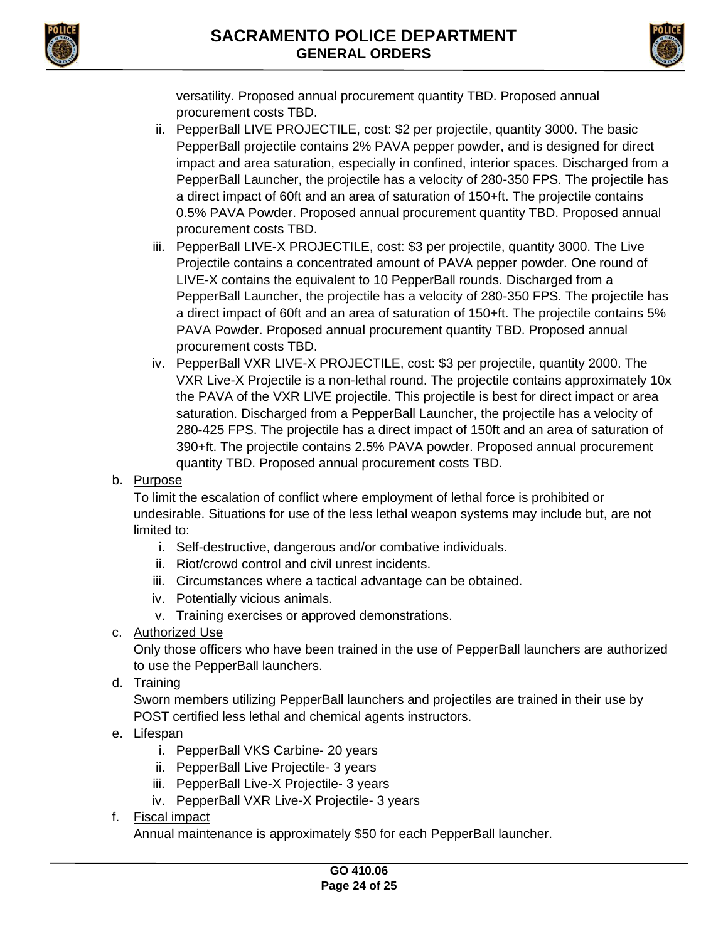



versatility. Proposed annual procurement quantity TBD. Proposed annual procurement costs TBD.

- ii. PepperBall LIVE PROJECTILE, cost: \$2 per projectile, quantity 3000. The basic PepperBall projectile contains 2% PAVA pepper powder, and is designed for direct impact and area saturation, especially in confined, interior spaces. Discharged from a PepperBall Launcher, the projectile has a velocity of 280-350 FPS. The projectile has a direct impact of 60ft and an area of saturation of 150+ft. The projectile contains 0.5% PAVA Powder. Proposed annual procurement quantity TBD. Proposed annual procurement costs TBD.
- iii. PepperBall LIVE-X PROJECTILE, cost: \$3 per projectile, quantity 3000. The Live Projectile contains a concentrated amount of PAVA pepper powder. One round of LIVE-X contains the equivalent to 10 PepperBall rounds. Discharged from a PepperBall Launcher, the projectile has a velocity of 280-350 FPS. The projectile has a direct impact of 60ft and an area of saturation of 150+ft. The projectile contains 5% PAVA Powder. Proposed annual procurement quantity TBD. Proposed annual procurement costs TBD.
- iv. PepperBall VXR LIVE-X PROJECTILE, cost: \$3 per projectile, quantity 2000. The VXR Live-X Projectile is a non-lethal round. The projectile contains approximately 10x the PAVA of the VXR LIVE projectile. This projectile is best for direct impact or area saturation. Discharged from a PepperBall Launcher, the projectile has a velocity of 280-425 FPS. The projectile has a direct impact of 150ft and an area of saturation of 390+ft. The projectile contains 2.5% PAVA powder. Proposed annual procurement quantity TBD. Proposed annual procurement costs TBD.
- b. Purpose

To limit the escalation of conflict where employment of lethal force is prohibited or undesirable. Situations for use of the less lethal weapon systems may include but, are not limited to:

- i. Self-destructive, dangerous and/or combative individuals.
- ii. Riot/crowd control and civil unrest incidents.
- iii. Circumstances where a tactical advantage can be obtained.
- iv. Potentially vicious animals.
- v. Training exercises or approved demonstrations.
- c. Authorized Use

Only those officers who have been trained in the use of PepperBall launchers are authorized to use the PepperBall launchers.

d. Training

Sworn members utilizing PepperBall launchers and projectiles are trained in their use by POST certified less lethal and chemical agents instructors.

- e. Lifespan
	- i. PepperBall VKS Carbine- 20 years
	- ii. PepperBall Live Projectile- 3 years
	- iii. PepperBall Live-X Projectile- 3 years
	- iv. PepperBall VXR Live-X Projectile- 3 years
- f. Fiscal impact

Annual maintenance is approximately \$50 for each PepperBall launcher.